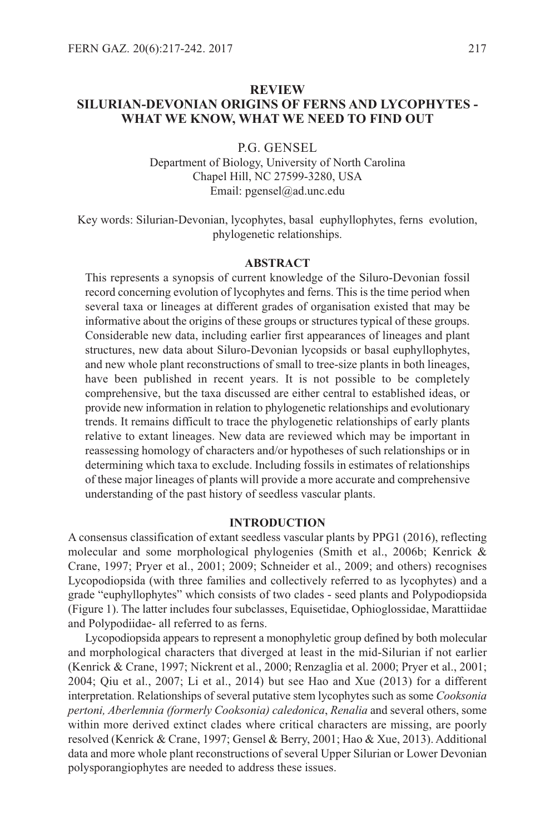# **REVIEW SILURIAN-DEVONIAN ORIGINS OF FERNS AND LYCOPHYTES - WHAT WE KNOW, WHAT WE NEED TO FIND OUT**

P.G. GENsEl

Department of Biology, University of North Carolina Chapel Hill, NC 27599-3280, UsA Email: pgensel@ad.unc.edu

Key words: silurian-Devonian, lycophytes, basal euphyllophytes, ferns evolution, phylogenetic relationships.

### **ABSTRACT**

This represents a synopsis of current knowledge of the siluro-Devonian fossil record concerning evolution of lycophytes and ferns. This is the time period when several taxa or lineages at different grades of organisation existed that may be informative about the origins of these groups or structures typical of these groups. Considerable new data, including earlier first appearances of lineages and plant structures, new data about siluro-Devonian lycopsids or basal euphyllophytes, and new whole plant reconstructions of small to tree-size plants in both lineages, have been published in recent years. It is not possible to be completely comprehensive, but the taxa discussed are either central to established ideas, or provide new information in relation to phylogenetic relationships and evolutionary trends. It remains difficult to trace the phylogenetic relationships of early plants relative to extant lineages. New data are reviewed which may be important in reassessing homology of characters and/or hypotheses of such relationships or in determining which taxa to exclude. Including fossils in estimates of relationships of these major lineages of plants will provide a more accurate and comprehensive understanding of the past history of seedless vascular plants.

### **INTRODUCTION**

A consensus classification of extant seedless vascular plants by PPG1 (2016), reflecting molecular and some morphological phylogenies (smith et al., 2006b; Kenrick & Crane, 1997; Pryer et al., 2001; 2009; schneider et al., 2009; and others) recognises lycopodiopsida (with three families and collectively referred to as lycophytes) and a grade "euphyllophytes" which consists of two clades - seed plants and Polypodiopsida (Figure 1). The latter includes four subclasses, Equisetidae, Ophioglossidae, Marattiidae and Polypodiidae- all referred to as ferns.

lycopodiopsida appears to represent a monophyletic group defined by both molecular and morphological characters that diverged at least in the mid-silurian if not earlier (Kenrick & Crane, 1997; Nickrent et al., 2000; Renzaglia et al. 2000; Pryer et al., 2001; 2004; Qiu et al., 2007; li et al., 2014) but see Hao and Xue (2013) for a different interpretation. Relationships of several putative stem lycophytes such as some *Cooksonia pertoni, Aberlemnia (formerly Cooksonia) caledonica*, *Renalia* and several others, some within more derived extinct clades where critical characters are missing, are poorly resolved (Kenrick & Crane, 1997; Gensel & Berry, 2001; Hao & Xue, 2013). Additional data and more whole plant reconstructions of several Upper silurian or lower Devonian polysporangiophytes are needed to address these issues.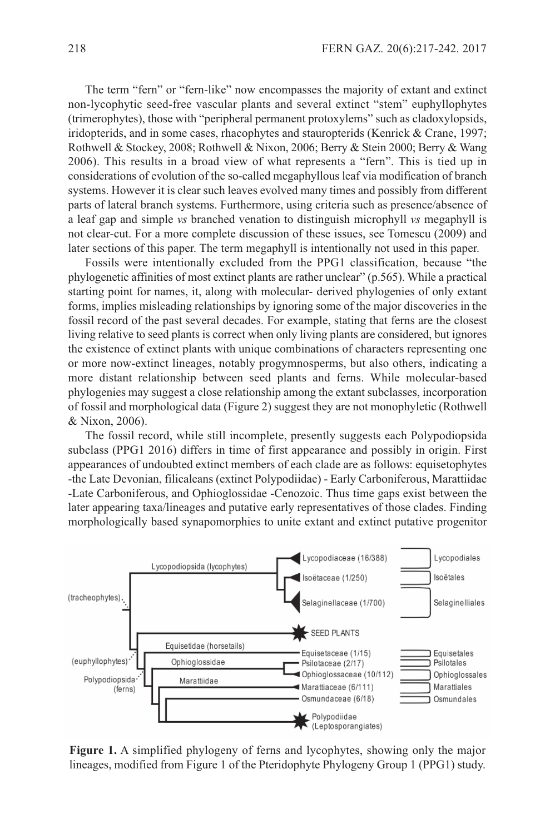The term "fern" or "fern-like" now encompasses the majority of extant and extinct non-lycophytic seed-free vascular plants and several extinct "stem" euphyllophytes (trimerophytes), those with "peripheral permanent protoxylems" such as cladoxylopsids, iridopterids, and in some cases, rhacophytes and stauropterids (Kenrick & Crane, 1997; Rothwell & stockey, 2008; Rothwell & Nixon, 2006; Berry & stein 2000; Berry & Wang 2006). This results in a broad view of what represents a "fern". This is tied up in considerations of evolution of the so-called megaphyllous leaf via modification of branch systems. However it is clear such leaves evolved many times and possibly from different parts of lateral branch systems. Furthermore, using criteria such as presence/absence of a leaf gap and simple *vs* branched venation to distinguish microphyll *vs* megaphyll is not clear-cut. For a more complete discussion of these issues, see Tomescu (2009) and later sections of this paper. The term megaphyll is intentionally not used in this paper.

Fossils were intentionally excluded from the PPG1 classification, because "the phylogenetic affinities of most extinct plants are rather unclear" (p.565). While a practical starting point for names, it, along with molecular- derived phylogenies of only extant forms, implies misleading relationships by ignoring some of the major discoveries in the fossil record of the past several decades. For example, stating that ferns are the closest living relative to seed plants is correct when only living plants are considered, but ignores the existence of extinct plants with unique combinations of characters representing one or more now-extinct lineages, notably progymnosperms, but also others, indicating a more distant relationship between seed plants and ferns. While molecular-based phylogenies may suggest a close relationship among the extant subclasses, incorporation of fossil and morphological data (Figure 2) suggest they are not monophyletic (Rothwell & Nixon, 2006).

The fossil record, while still incomplete, presently suggests each Polypodiopsida subclass (PPG1 2016) differs in time of first appearance and possibly in origin. First appearances of undoubted extinct members of each clade are as follows: equisetophytes -the late Devonian, filicaleans (extinct Polypodiidae) - Early Carboniferous, Marattiidae -late Carboniferous, and Ophioglossidae -Cenozoic. Thus time gaps exist between the later appearing taxa/lineages and putative early representatives of those clades. Finding morphologically based synapomorphies to unite extant and extinct putative progenitor



**Figure 1.** A simplified phylogeny of ferns and lycophytes, showing only the major lineages, modified from Figure 1 of the Pteridophyte Phylogeny Group 1 (PPG1) study.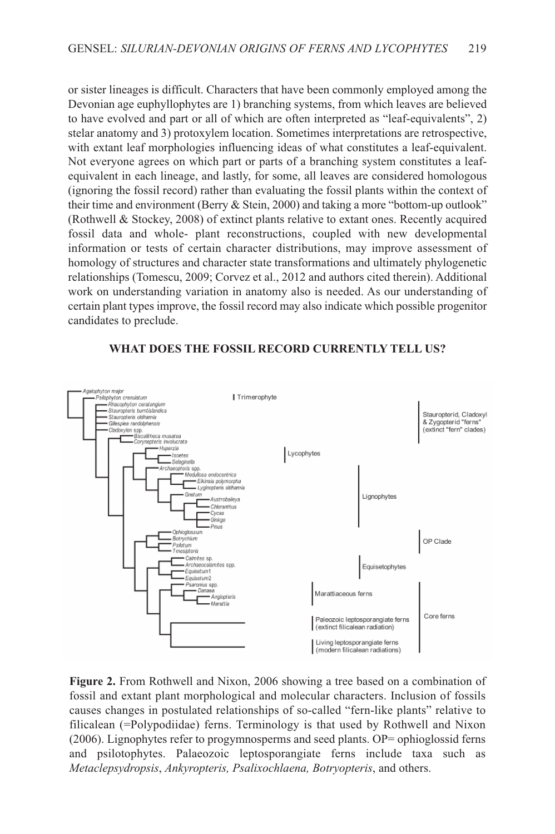or sister lineages is difficult. Characters that have been commonly employed among the Devonian age euphyllophytes are 1) branching systems, from which leaves are believed to have evolved and part or all of which are often interpreted as "leaf-equivalents", 2) stelar anatomy and 3) protoxylem location. sometimes interpretations are retrospective, with extant leaf morphologies influencing ideas of what constitutes a leaf-equivalent. Not everyone agrees on which part or parts of a branching system constitutes a leafequivalent in each lineage, and lastly, for some, all leaves are considered homologous (ignoring the fossil record) rather than evaluating the fossil plants within the context of their time and environment (Berry & stein, 2000) and taking a more "bottom-up outlook" (Rothwell & stockey, 2008) of extinct plants relative to extant ones. Recently acquired fossil data and whole- plant reconstructions, coupled with new developmental information or tests of certain character distributions, may improve assessment of homology of structures and character state transformations and ultimately phylogenetic relationships (Tomescu, 2009; Corvez et al., 2012 and authors cited therein). Additional work on understanding variation in anatomy also is needed. As our understanding of certain plant types improve, the fossil record may also indicate which possible progenitor candidates to preclude.



## **WHAT DOES THE FOSSIL RECORD CURRENTLY TELL US?**

**Figure 2.** From Rothwell and Nixon, 2006 showing a tree based on a combination of fossil and extant plant morphological and molecular characters. Inclusion of fossils causes changes in postulated relationships of so-called "fern-like plants" relative to filicalean (=Polypodiidae) ferns. Terminology is that used by Rothwell and Nixon (2006). lignophytes refer to progymnosperms and seed plants. OP= ophioglossid ferns and psilotophytes. Palaeozoic leptosporangiate ferns include taxa such as *Metaclepsydropsis*, *Ankyropteris, Psalixochlaena, Botryopteris*, and others.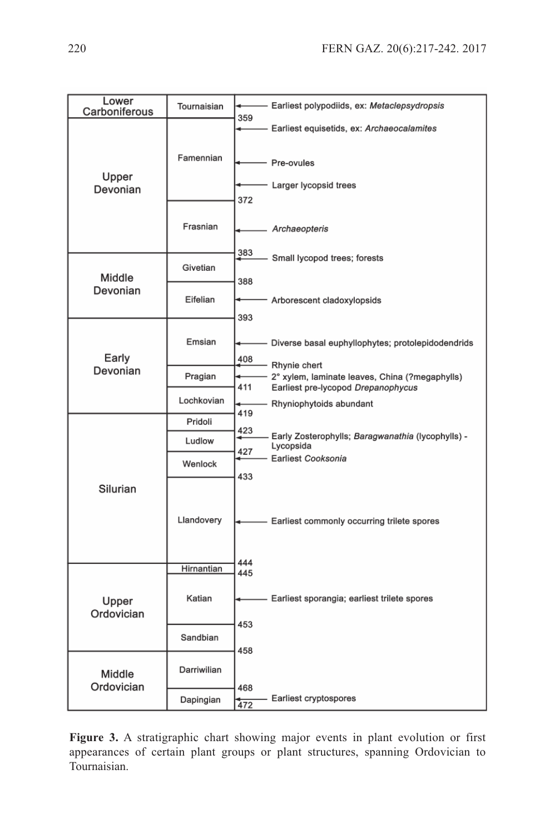| Lower<br>Carboniferous | Tournaisian | Earliest polypodiids, ex: Metaclepsydropsis<br>359                    |
|------------------------|-------------|-----------------------------------------------------------------------|
|                        |             | Earliest equisetids, ex: Archaeocalamites                             |
| Upper<br>Devonian      | Famennian   | Pre-ovules                                                            |
|                        |             | Larger lycopsid trees<br>372                                          |
|                        | Frasnian    | Archaeopteris                                                         |
| Middle<br>Devonian     | Givetian    | 383<br>Small lycopod trees; forests<br>388                            |
|                        | Eifelian    | Arborescent cladoxylopsids<br>393                                     |
| Early<br>Devonian      | Emsian      | Diverse basal euphyllophytes; protolepidodendrids<br>408              |
|                        | Pragian     | Rhynie chert<br>2° xylem, laminate leaves, China (?megaphylls)        |
|                        | Lochkovian  | 411<br>Earliest pre-lycopod Drepanophycus<br>Rhyniophytoids abundant  |
| Silurian               | Pridoli     | 419<br>423                                                            |
|                        | Ludlow      | Early Zosterophylls; Baragwanathia (lycophylls) -<br>Lycopsida<br>427 |
|                        | Wenlock     | Earliest Cooksonia<br>433                                             |
|                        | Llandovery  | Earliest commonly occurring trilete spores<br>444                     |
| Upper<br>Ordovician    | Hirnantian  | 445                                                                   |
|                        | Katian      | Earliest sporangia; earliest trilete spores                           |
|                        | Sandbian    | 453<br>458                                                            |
| Middle<br>Ordovician   | Darriwilian |                                                                       |
|                        | Dapingian   | 468<br>Earliest cryptospores<br>472                                   |

**Figure 3.** A stratigraphic chart showing major events in plant evolution or first appearances of certain plant groups or plant structures, spanning Ordovician to Tournaisian.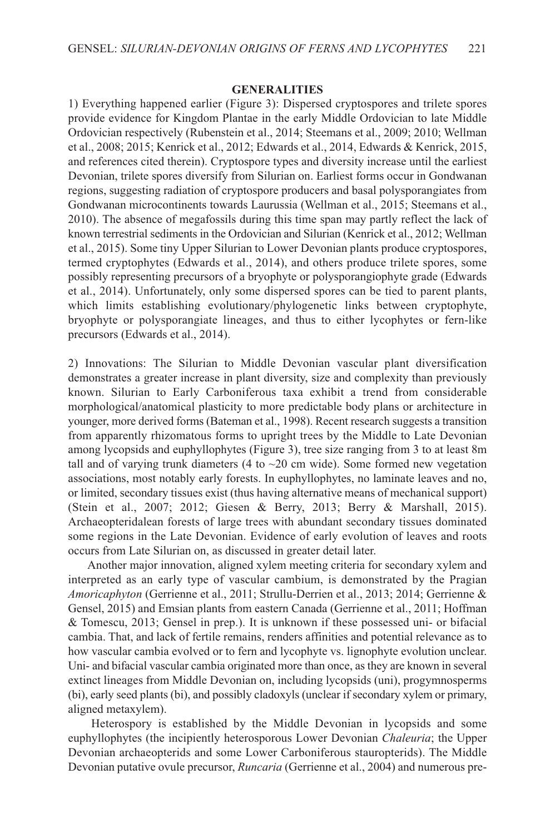## **GENERALITIES**

1) Everything happened earlier (Figure 3): Dispersed cryptospores and trilete spores provide evidence for Kingdom Plantae in the early Middle Ordovician to late Middle Ordovician respectively (Rubenstein et al., 2014; steemans et al., 2009; 2010; Wellman et al., 2008; 2015; Kenrick et al., 2012; Edwards et al., 2014, Edwards & Kenrick, 2015, and references cited therein). Cryptospore types and diversity increase until the earliest Devonian, trilete spores diversify from silurian on. Earliest forms occur in Gondwanan regions, suggesting radiation of cryptospore producers and basal polysporangiates from Gondwanan microcontinents towards Laurussia (Wellman et al., 2015; Steemans et al., 2010). The absence of megafossils during this time span may partly reflect the lack of known terrestrial sediments in the Ordovician and silurian (Kenrick et al., 2012; Wellman et al., 2015). some tiny Upper silurian to lower Devonian plants produce cryptospores, termed cryptophytes (Edwards et al., 2014), and others produce trilete spores, some possibly representing precursors of a bryophyte or polysporangiophyte grade (Edwards et al., 2014). Unfortunately, only some dispersed spores can be tied to parent plants, which limits establishing evolutionary/phylogenetic links between cryptophyte, bryophyte or polysporangiate lineages, and thus to either lycophytes or fern-like precursors (Edwards et al., 2014).

2) Innovations: The silurian to Middle Devonian vascular plant diversification demonstrates a greater increase in plant diversity, size and complexity than previously known. silurian to Early Carboniferous taxa exhibit a trend from considerable morphological/anatomical plasticity to more predictable body plans or architecture in younger, more derived forms (Bateman et al., 1998). Recent research suggests a transition from apparently rhizomatous forms to upright trees by the Middle to late Devonian among lycopsids and euphyllophytes (Figure 3), tree size ranging from 3 to at least 8m tall and of varying trunk diameters (4 to  $\sim$  20 cm wide). Some formed new vegetation associations, most notably early forests. In euphyllophytes, no laminate leaves and no, or limited, secondary tissues exist (thus having alternative means of mechanical support) (stein et al., 2007; 2012; Giesen & Berry, 2013; Berry & Marshall, 2015). Archaeopteridalean forests of large trees with abundant secondary tissues dominated some regions in the late Devonian. Evidence of early evolution of leaves and roots occurs from Late Silurian on, as discussed in greater detail later.

Another major innovation, aligned xylem meeting criteria for secondary xylem and interpreted as an early type of vascular cambium, is demonstrated by the Pragian *Amoricaphyton* (Gerrienne et al., 2011; strullu-Derrien et al., 2013; 2014; Gerrienne & Gensel, 2015) and Emsian plants from eastern Canada (Gerrienne et al., 2011; Hoffman & Tomescu, 2013; Gensel in prep.). It is unknown if these possessed uni- or bifacial cambia. That, and lack of fertile remains, renders affinities and potential relevance as to how vascular cambia evolved or to fern and lycophyte vs. lignophyte evolution unclear. Uni- and bifacial vascular cambia originated more than once, as they are known in several extinct lineages from Middle Devonian on, including lycopsids (uni), progymnosperms (bi), early seed plants (bi), and possibly cladoxyls (unclear if secondary xylem or primary, aligned metaxylem).

Heterospory is established by the Middle Devonian in lycopsids and some euphyllophytes (the incipiently heterosporous lower Devonian *Chaleuria*; the Upper Devonian archaeopterids and some lower Carboniferous stauropterids). The Middle Devonian putative ovule precursor, *Runcaria* (Gerrienne et al., 2004) and numerous pre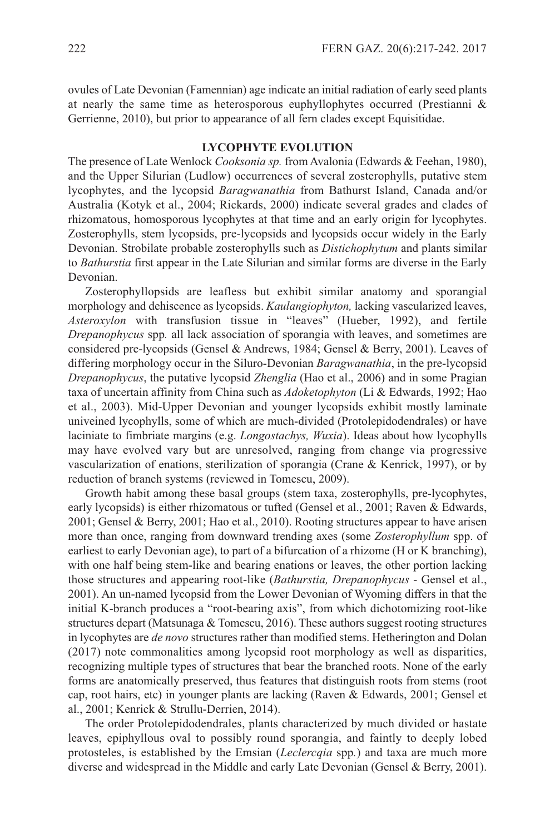ovules of late Devonian (Famennian) age indicate an initial radiation of early seed plants at nearly the same time as heterosporous euphyllophytes occurred (Prestianni & Gerrienne, 2010), but prior to appearance of all fern clades except Equisitidae.

## **LYCOPHYTE EVOLUTION**

The presence of late Wenlock *Cooksonia sp.* from Avalonia (Edwards & Feehan, 1980), and the Upper Silurian (Ludlow) occurrences of several zosterophylls, putative stem lycophytes, and the lycopsid *Baragwanathia* from Bathurst Island, Canada and/or Australia (Kotyk et al., 2004; Rickards, 2000) indicate several grades and clades of rhizomatous, homosporous lycophytes at that time and an early origin for lycophytes. Zosterophylls, stem lycopsids, pre-lycopsids and lycopsids occur widely in the Early Devonian. strobilate probable zosterophylls such as *Distichophytum* and plants similar to *Bathurstia* first appear in the late silurian and similar forms are diverse in the Early Devonian.

Zosterophyllopsids are leafless but exhibit similar anatomy and sporangial morphology and dehiscence as lycopsids. *Kaulangiophyton,* lacking vascularized leaves, *Asteroxylon* with transfusion tissue in "leaves" (Hueber, 1992), and fertile *Drepanophycus* spp*.* all lack association of sporangia with leaves, and sometimes are considered pre-lycopsids (Gensel & Andrews, 1984; Gensel & Berry, 2001). leaves of differing morphology occur in the siluro-Devonian *Baragwanathia*, in the pre-lycopsid *Drepanophycus*, the putative lycopsid *Zhenglia* (Hao et al., 2006) and in some Pragian taxa of uncertain affinity from China such as *Adoketophyton* (li & Edwards, 1992; Hao et al., 2003). Mid-Upper Devonian and younger lycopsids exhibit mostly laminate univeined lycophylls, some of which are much-divided (Protolepidodendrales) or have laciniate to fimbriate margins (e.g. *Longostachys, Wuxia*). Ideas about how lycophylls may have evolved vary but are unresolved, ranging from change via progressive vascularization of enations, sterilization of sporangia (Crane & Kenrick, 1997), or by reduction of branch systems (reviewed in Tomescu, 2009).

Growth habit among these basal groups (stem taxa, zosterophylls, pre-lycophytes, early lycopsids) is either rhizomatous or tufted (Gensel et al., 2001; Raven & Edwards, 2001; Gensel & Berry, 2001; Hao et al., 2010). Rooting structures appear to have arisen more than once, ranging from downward trending axes (some *Zosterophyllum* spp. of earliest to early Devonian age), to part of a bifurcation of a rhizome (H or K branching), with one half being stem-like and bearing enations or leaves, the other portion lacking those structures and appearing root-like (*Bathurstia, Drepanophycus -* Gensel et al., 2001). An un-named lycopsid from the lower Devonian of Wyoming differs in that the initial K-branch produces a "root-bearing axis", from which dichotomizing root-like structures depart (Matsunaga  $&$  Tomescu, 2016). These authors suggest rooting structures in lycophytes are *de novo* structures rather than modified stems. Hetherington and Dolan (2017) note commonalities among lycopsid root morphology as well as disparities, recognizing multiple types of structures that bear the branched roots. None of the early forms are anatomically preserved, thus features that distinguish roots from stems (root cap, root hairs, etc) in younger plants are lacking (Raven & Edwards, 2001; Gensel et al., 2001; Kenrick & strullu-Derrien, 2014).

The order Protolepidodendrales, plants characterized by much divided or hastate leaves, epiphyllous oval to possibly round sporangia, and faintly to deeply lobed protosteles, is established by the Emsian (*Leclercqia* spp*.*) and taxa are much more diverse and widespread in the Middle and early late Devonian (Gensel & Berry, 2001).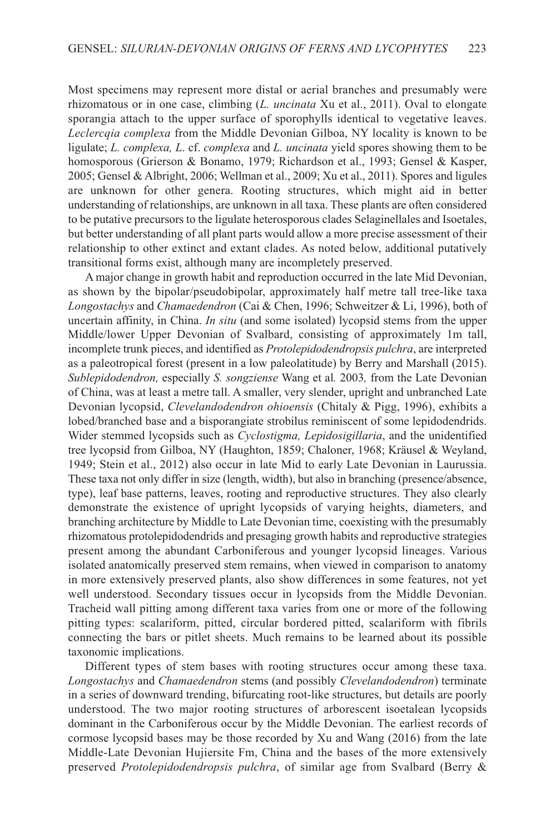Most specimens may represent more distal or aerial branches and presumably were rhizomatous or in one case, climbing (*L. uncinata* Xu et al., 2011). Oval to elongate sporangia attach to the upper surface of sporophylls identical to vegetative leaves. *Leclercqia complexa* from the Middle Devonian Gilboa, NY locality is known to be ligulate; *L. complexa, L*. cf. *complexa* and *L. uncinata* yield spores showing them to be homosporous (Grierson & Bonamo, 1979; Richardson et al., 1993; Gensel & Kasper, 2005; Gensel &Albright, 2006; Wellman et al., 2009; Xu et al., 2011). spores and ligules are unknown for other genera. Rooting structures, which might aid in better understanding of relationships, are unknown in all taxa. These plants are often considered to be putative precursors to the ligulate heterosporous clades selaginellales and Isoetales, but better understanding of all plant parts would allow a more precise assessment of their relationship to other extinct and extant clades. As noted below, additional putatively transitional forms exist, although many are incompletely preserved.

A major change in growth habit and reproduction occurred in the late Mid Devonian, as shown by the bipolar/pseudobipolar, approximately half metre tall tree-like taxa *Longostachys* and *Chamaedendron* (Cai & Chen, 1996; schweitzer & li, 1996), both of uncertain affinity, in China. *In situ* (and some isolated) lycopsid stems from the upper Middle/lower Upper Devonian of svalbard, consisting of approximately 1m tall, incomplete trunk pieces, and identified as *Protolepidodendropsis pulchra*, are interpreted as a paleotropical forest (present in a low paleolatitude) by Berry and Marshall (2015). *Sublepidodendron,* especially *S. songziense* Wang et al*.* 2003*,* from the late Devonian of China, was at least a metre tall. A smaller, very slender, upright and unbranched late Devonian lycopsid, *Clevelandodendron ohioensis* (Chitaly & Pigg, 1996), exhibits a lobed/branched base and a bisporangiate strobilus reminiscent of some lepidodendrids. Wider stemmed lycopsids such as *Cyclostigma, Lepidosigillaria*, and the unidentified tree lycopsid from Gilboa, NY (Haughton, 1859; Chaloner, 1968; Kräusel & Weyland, 1949; stein et al., 2012) also occur in late Mid to early late Devonian in laurussia. These taxa not only differ in size (length, width), but also in branching (presence/absence, type), leaf base patterns, leaves, rooting and reproductive structures. They also clearly demonstrate the existence of upright lycopsids of varying heights, diameters, and branching architecture by Middle to late Devonian time, coexisting with the presumably rhizomatous protolepidodendrids and presaging growth habits and reproductive strategies present among the abundant Carboniferous and younger lycopsid lineages. Various isolated anatomically preserved stem remains, when viewed in comparison to anatomy in more extensively preserved plants, also show differences in some features, not yet well understood. Secondary tissues occur in lycopsids from the Middle Devonian. Tracheid wall pitting among different taxa varies from one or more of the following pitting types: scalariform, pitted, circular bordered pitted, scalariform with fibrils connecting the bars or pitlet sheets. Much remains to be learned about its possible taxonomic implications.

Different types of stem bases with rooting structures occur among these taxa. *Longostachys* and *Chamaedendron* stems (and possibly *Clevelandodendron*) terminate in a series of downward trending, bifurcating root-like structures, but details are poorly understood. The two major rooting structures of arborescent isoetalean lycopsids dominant in the Carboniferous occur by the Middle Devonian. The earliest records of cormose lycopsid bases may be those recorded by Xu and Wang (2016) from the late Middle-late Devonian Hujiersite Fm, China and the bases of the more extensively preserved *Protolepidodendropsis pulchra*, of similar age from svalbard (Berry &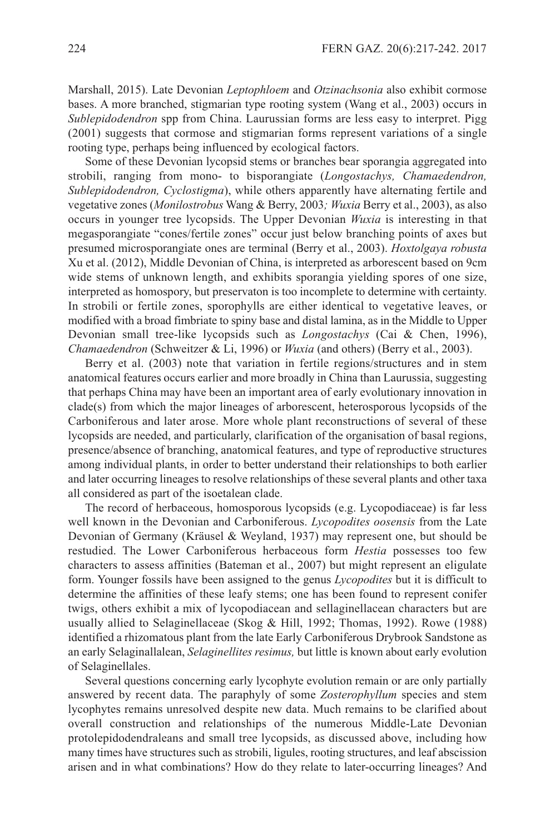Marshall, 2015). late Devonian *Leptophloem* and *Otzinachsonia* also exhibit cormose bases. A more branched, stigmarian type rooting system (Wang et al., 2003) occurs in *Sublepidodendron* spp from China. laurussian forms are less easy to interpret. Pigg (2001) suggests that cormose and stigmarian forms represent variations of a single rooting type, perhaps being influenced by ecological factors.

some of these Devonian lycopsid stems or branches bear sporangia aggregated into strobili, ranging from mono- to bisporangiate (*Longostachys, Chamaedendron, Sublepidodendron, Cyclostigma*), while others apparently have alternating fertile and vegetative zones (*Monilostrobus* Wang & Berry, 2003*; Wuxia* Berry et al., 2003), as also occurs in younger tree lycopsids. The Upper Devonian *Wuxia* is interesting in that megasporangiate "cones/fertile zones" occur just below branching points of axes but presumed microsporangiate ones are terminal (Berry et al., 2003). *Hoxtolgaya robusta* Xu et al. (2012), Middle Devonian of China, is interpreted as arborescent based on 9cm wide stems of unknown length, and exhibits sporangia yielding spores of one size, interpreted as homospory, but preservaton is too incomplete to determine with certainty. In strobili or fertile zones, sporophylls are either identical to vegetative leaves, or modified with a broad fimbriate to spiny base and distal lamina, as in the Middle to Upper Devonian small tree-like lycopsids such as *Longostachys* (Cai & Chen, 1996), *Chamaedendron* (Schweitzer & Li, 1996) or *Wuxia* (and others) (Berry et al., 2003).

Berry et al. (2003) note that variation in fertile regions/structures and in stem anatomical features occurs earlier and more broadly in China than laurussia, suggesting that perhaps China may have been an important area of early evolutionary innovation in clade(s) from which the major lineages of arborescent, heterosporous lycopsids of the Carboniferous and later arose. More whole plant reconstructions of several of these lycopsids are needed, and particularly, clarification of the organisation of basal regions, presence/absence of branching, anatomical features, and type of reproductive structures among individual plants, in order to better understand their relationships to both earlier and later occurring lineages to resolve relationships of these several plants and other taxa all considered as part of the isoetalean clade.

The record of herbaceous, homosporous lycopsids (e.g. lycopodiaceae) is far less well known in the Devonian and Carboniferous. *Lycopodites oosensis* from the late Devonian of Germany (Kräusel & Weyland, 1937) may represent one, but should be restudied. The lower Carboniferous herbaceous form *Hestia* possesses too few characters to assess affinities (Bateman et al., 2007) but might represent an eligulate form. Younger fossils have been assigned to the genus *Lycopodites* but it is difficult to determine the affinities of these leafy stems; one has been found to represent conifer twigs, others exhibit a mix of lycopodiacean and sellaginellacean characters but are usually allied to selaginellaceae (skog & Hill, 1992; Thomas, 1992). Rowe (1988) identified a rhizomatous plant from the late Early Carboniferous Drybrook sandstone as an early selaginallalean, *Selaginellites resimus,* but little is known about early evolution of selaginellales.

several questions concerning early lycophyte evolution remain or are only partially answered by recent data. The paraphyly of some *Zosterophyllum* species and stem lycophytes remains unresolved despite new data. Much remains to be clarified about overall construction and relationships of the numerous Middle-late Devonian protolepidodendraleans and small tree lycopsids, as discussed above, including how many times have structures such as strobili, ligules, rooting structures, and leaf abscission arisen and in what combinations? How do they relate to later-occurring lineages? And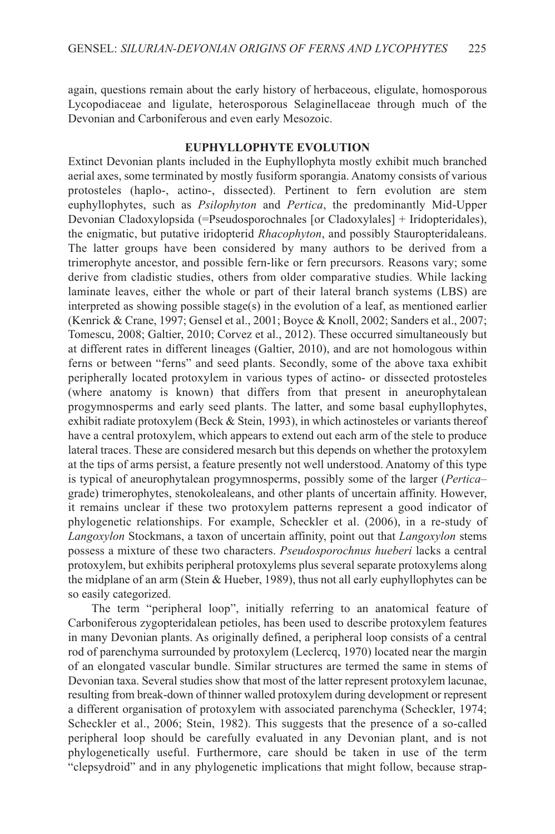again, questions remain about the early history of herbaceous, eligulate, homosporous lycopodiaceae and ligulate, heterosporous selaginellaceae through much of the Devonian and Carboniferous and even early Mesozoic.

## **EUPHYLLOPHYTE EVOLUTION**

Extinct Devonian plants included in the Euphyllophyta mostly exhibit much branched aerial axes, some terminated by mostly fusiform sporangia. Anatomy consists of various protosteles (haplo-, actino-, dissected). Pertinent to fern evolution are stem euphyllophytes, such as *Psilophyton* and *Pertica*, the predominantly Mid-Upper Devonian Cladoxylopsida (=Pseudosporochnales [or Cladoxylales] + Iridopteridales), the enigmatic, but putative iridopterid *Rhacophyton*, and possibly stauropteridaleans. The latter groups have been considered by many authors to be derived from a trimerophyte ancestor, and possible fern-like or fern precursors. Reasons vary; some derive from cladistic studies, others from older comparative studies. While lacking laminate leaves, either the whole or part of their lateral branch systems (LBS) are interpreted as showing possible stage(s) in the evolution of a leaf, as mentioned earlier (Kenrick & Crane, 1997; Gensel et al., 2001; Boyce & Knoll, 2002; sanders et al., 2007; Tomescu, 2008; Galtier, 2010; Corvez et al., 2012). These occurred simultaneously but at different rates in different lineages (Galtier, 2010), and are not homologous within ferns or between "ferns" and seed plants. secondly, some of the above taxa exhibit peripherally located protoxylem in various types of actino- or dissected protosteles (where anatomy is known) that differs from that present in aneurophytalean progymnosperms and early seed plants. The latter, and some basal euphyllophytes, exhibit radiate protoxylem (Beck  $&$  Stein, 1993), in which actinosteles or variants thereof have a central protoxylem, which appears to extend out each arm of the stele to produce lateral traces. These are considered mesarch but this depends on whether the protoxylem at the tips of arms persist, a feature presently not well understood. Anatomy of this type is typical of aneurophytalean progymnosperms, possibly some of the larger (*Pertica*– grade) trimerophytes, stenokolealeans, and other plants of uncertain affinity. However, it remains unclear if these two protoxylem patterns represent a good indicator of phylogenetic relationships. For example, scheckler et al. (2006), in a re-study of *Langoxylon* stockmans, a taxon of uncertain affinity, point out that *Langoxylon* stems possess a mixture of these two characters. *Pseudosporochnus hueberi* lacks a central protoxylem, but exhibits peripheral protoxylems plus several separate protoxylems along the midplane of an arm (Stein & Hueber, 1989), thus not all early euphyllophytes can be so easily categorized.

The term "peripheral loop", initially referring to an anatomical feature of Carboniferous zygopteridalean petioles, has been used to describe protoxylem features in many Devonian plants. As originally defined, a peripheral loop consists of a central rod of parenchyma surrounded by protoxylem (leclercq, 1970) located near the margin of an elongated vascular bundle. similar structures are termed the same in stems of Devonian taxa. Several studies show that most of the latter represent protoxylem lacunae, resulting from break-down of thinner walled protoxylem during development or represent a different organisation of protoxylem with associated parenchyma (scheckler, 1974; scheckler et al., 2006; stein, 1982). This suggests that the presence of a so-called peripheral loop should be carefully evaluated in any Devonian plant, and is not phylogenetically useful. Furthermore, care should be taken in use of the term "clepsydroid" and in any phylogenetic implications that might follow, because strap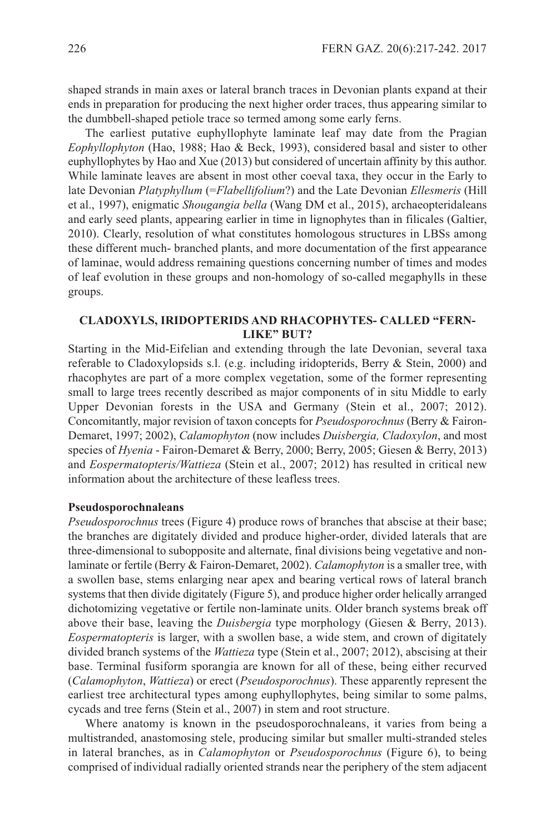shaped strands in main axes or lateral branch traces in Devonian plants expand at their ends in preparation for producing the next higher order traces, thus appearing similar to the dumbbell-shaped petiole trace so termed among some early ferns.

The earliest putative euphyllophyte laminate leaf may date from the Pragian *Eophyllophyton* (Hao, 1988; Hao & Beck, 1993), considered basal and sister to other euphyllophytes by Hao and Xue (2013) but considered of uncertain affinity by this author. While laminate leaves are absent in most other coeval taxa, they occur in the Early to late Devonian *Platyphyllum* (=*Flabellifolium*?) and the late Devonian *Ellesmeris* (Hill et al., 1997), enigmatic *Shougangia bella* (Wang DM et al., 2015), archaeopteridaleans and early seed plants, appearing earlier in time in lignophytes than in filicales (Galtier, 2010). Clearly, resolution of what constitutes homologous structures in lBss among these different much- branched plants, and more documentation of the first appearance of laminae, would address remaining questions concerning number of times and modes of leaf evolution in these groups and non-homology of so-called megaphylls in these groups.

# **CLADOXYLS, IRIDOPTERIDS AND RHACOPHYTES- CALLED "FERN-LIKE" BUT?**

starting in the Mid-Eifelian and extending through the late Devonian, several taxa referable to Cladoxylopsids s.l. (e.g. including iridopterids, Berry & stein, 2000) and rhacophytes are part of a more complex vegetation, some of the former representing small to large trees recently described as major components of in situ Middle to early Upper Devonian forests in the UsA and Germany (stein et al., 2007; 2012). Concomitantly, major revision of taxon concepts for *Pseudosporochnus* (Berry & Fairon-Demaret, 1997; 2002), *Calamophyton* (now includes *Duisbergia, Cladoxylon*, and most species of *Hyenia* - Fairon-Demaret & Berry, 2000; Berry, 2005; Giesen & Berry, 2013) and *Eospermatopteris/Wattieza* (stein et al., 2007; 2012) has resulted in critical new information about the architecture of these leafless trees.

## **Pseudosporochnaleans**

*Pseudosporochnus* trees (Figure 4) produce rows of branches that abscise at their base; the branches are digitately divided and produce higher-order, divided laterals that are three-dimensional to subopposite and alternate, final divisions being vegetative and nonlaminate or fertile (Berry & Fairon-Demaret, 2002). *Calamophyton* is a smaller tree, with a swollen base, stems enlarging near apex and bearing vertical rows of lateral branch systems that then divide digitately (Figure 5), and produce higher order helically arranged dichotomizing vegetative or fertile non-laminate units. Older branch systems break off above their base, leaving the *Duisbergia* type morphology (Giesen & Berry, 2013). *Eospermatopteris* is larger, with a swollen base, a wide stem, and crown of digitately divided branch systems of the *Wattieza* type (stein et al., 2007; 2012), abscising at their base. Terminal fusiform sporangia are known for all of these, being either recurved (*Calamophyton*, *Wattieza*) or erect (*Pseudosporochnus*). These apparently represent the earliest tree architectural types among euphyllophytes, being similar to some palms, cycads and tree ferns (Stein et al., 2007) in stem and root structure.

Where anatomy is known in the pseudosporochnaleans, it varies from being a multistranded, anastomosing stele, producing similar but smaller multi-stranded steles in lateral branches, as in *Calamophyton* or *Pseudosporochnus* (Figure 6), to being comprised of individual radially oriented strands near the periphery of the stem adjacent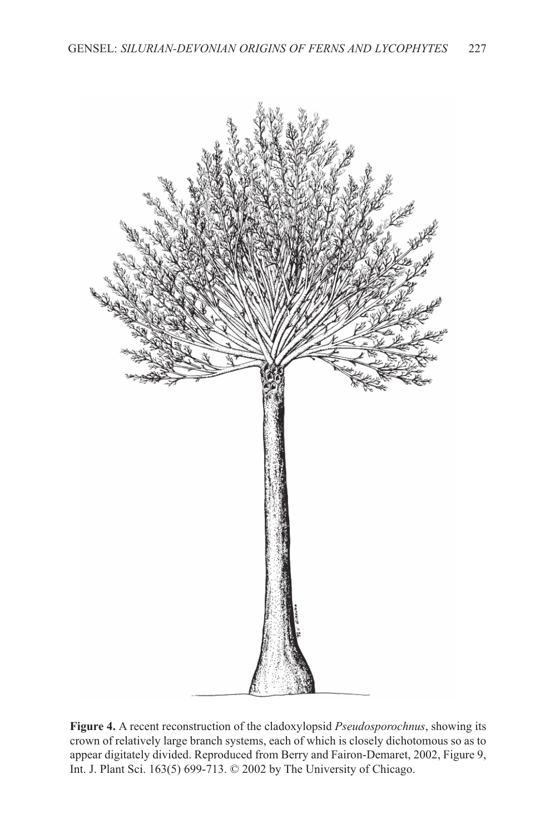

**Figure 4.** A recent reconstruction of the cladoxylopsid *Pseudosporochnus*, showing its crown of relatively large branch systems, each of which is closely dichotomous so as to appear digitately divided. Reproduced from Berry and Fairon-Demaret, 2002, Figure 9, Int. J. Plant Sci. 163(5) 699-713. © 2002 by The University of Chicago.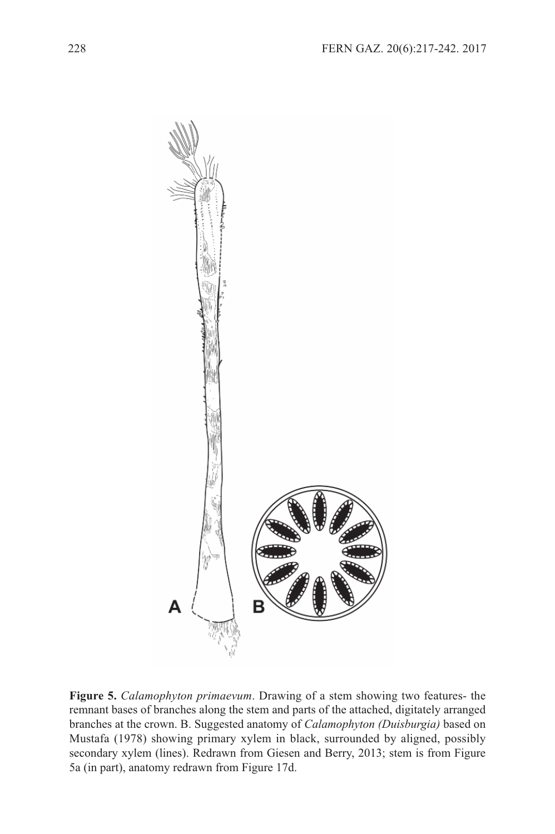

**Figure 5.** *Calamophyton primaevum*. Drawing of a stem showing two features- the remnant bases of branches along the stem and parts of the attached, digitately arranged branches at the crown. B. suggested anatomy of *Calamophyton (Duisburgia)* based on Mustafa (1978) showing primary xylem in black, surrounded by aligned, possibly secondary xylem (lines). Redrawn from Giesen and Berry, 2013; stem is from Figure 5a (in part), anatomy redrawn from Figure 17d.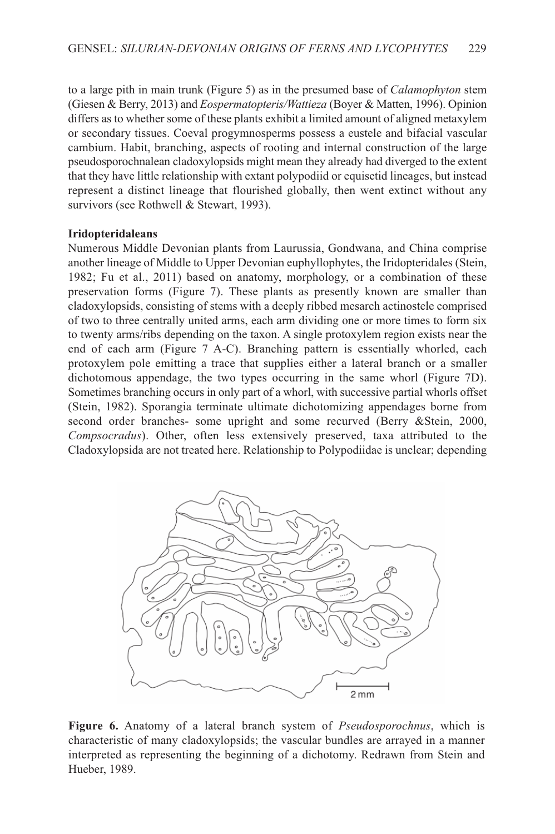to a large pith in main trunk (Figure 5) as in the presumed base of *Calamophyton* stem (Giesen & Berry, 2013) and *Eospermatopteris/Wattieza* (Boyer & Matten, 1996). Opinion differs as to whether some of these plants exhibit a limited amount of aligned metaxylem or secondary tissues. Coeval progymnosperms possess a eustele and bifacial vascular cambium. Habit, branching, aspects of rooting and internal construction of the large pseudosporochnalean cladoxylopsids might mean they already had diverged to the extent that they have little relationship with extant polypodiid or equisetid lineages, but instead represent a distinct lineage that flourished globally, then went extinct without any survivors (see Rothwell & Stewart, 1993).

## **Iridopteridaleans**

Numerous Middle Devonian plants from laurussia, Gondwana, and China comprise another lineage of Middle to Upper Devonian euphyllophytes, the Iridopteridales (stein, 1982; Fu et al., 2011) based on anatomy, morphology, or a combination of these preservation forms (Figure 7). These plants as presently known are smaller than cladoxylopsids, consisting of stems with a deeply ribbed mesarch actinostele comprised of two to three centrally united arms, each arm dividing one or more times to form six to twenty arms/ribs depending on the taxon. A single protoxylem region exists near the end of each arm (Figure 7 A-C). Branching pattern is essentially whorled, each protoxylem pole emitting a trace that supplies either a lateral branch or a smaller dichotomous appendage, the two types occurring in the same whorl (Figure 7D). sometimes branching occurs in only part of a whorl, with successive partial whorls offset (stein, 1982). sporangia terminate ultimate dichotomizing appendages borne from second order branches- some upright and some recurved (Berry &Stein, 2000, *Compsocradus*). Other, often less extensively preserved, taxa attributed to the Cladoxylopsida are not treated here. Relationship to Polypodiidae is unclear; depending



**Figure 6.** Anatomy of a lateral branch system of *Pseudosporochnus*, which is characteristic of many cladoxylopsids; the vascular bundles are arrayed in a manner interpreted as representing the beginning of a dichotomy. Redrawn from stein and Hueber, 1989.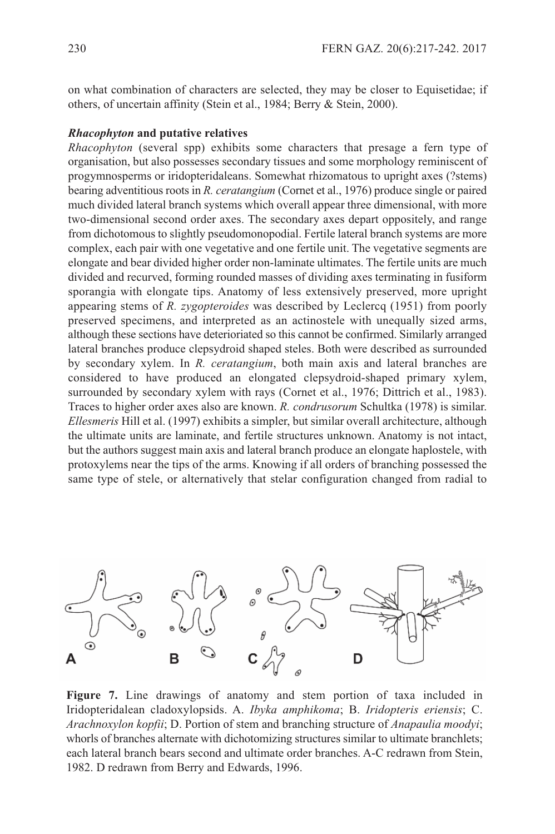on what combination of characters are selected, they may be closer to Equisetidae; if others, of uncertain affinity (stein et al., 1984; Berry & stein, 2000).

#### *Rhacophyton* **and putative relatives**

*Rhacophyton* (several spp) exhibits some characters that presage a fern type of organisation, but also possesses secondary tissues and some morphology reminiscent of progymnosperms or iridopteridaleans. somewhat rhizomatous to upright axes (?stems) bearing adventitious roots in *R. ceratangium* (Cornet et al., 1976) produce single or paired much divided lateral branch systems which overall appear three dimensional, with more two-dimensional second order axes. The secondary axes depart oppositely, and range from dichotomous to slightly pseudomonopodial. Fertile lateral branch systems are more complex, each pair with one vegetative and one fertile unit. The vegetative segments are elongate and bear divided higher order non-laminate ultimates. The fertile units are much divided and recurved, forming rounded masses of dividing axes terminating in fusiform sporangia with elongate tips. Anatomy of less extensively preserved, more upright appearing stems of *R. zygopteroides* was described by leclercq (1951) from poorly preserved specimens, and interpreted as an actinostele with unequally sized arms, although these sections have deterioriated so this cannot be confirmed. similarly arranged lateral branches produce clepsydroid shaped steles. Both were described as surrounded by secondary xylem. In *R. ceratangium*, both main axis and lateral branches are considered to have produced an elongated clepsydroid-shaped primary xylem, surrounded by secondary xylem with rays (Cornet et al., 1976; Dittrich et al., 1983). Traces to higher order axes also are known. *R. condrusorum* schultka (1978) is similar. *Ellesmeris* Hill et al. (1997) exhibits a simpler, but similar overall architecture, although the ultimate units are laminate, and fertile structures unknown. Anatomy is not intact, but the authors suggest main axis and lateral branch produce an elongate haplostele, with protoxylems near the tips of the arms. Knowing if all orders of branching possessed the same type of stele, or alternatively that stelar configuration changed from radial to



**Figure 7.** line drawings of anatomy and stem portion of taxa included in Iridopteridalean cladoxylopsids. A. *Ibyka amphikoma*; B. *Iridopteris eriensis*; C. *Arachnoxylon kopfii*; D. Portion of stem and branching structure of *Anapaulia moodyi*; whorls of branches alternate with dichotomizing structures similar to ultimate branchlets; each lateral branch bears second and ultimate order branches. A-C redrawn from stein, 1982. D redrawn from Berry and Edwards, 1996.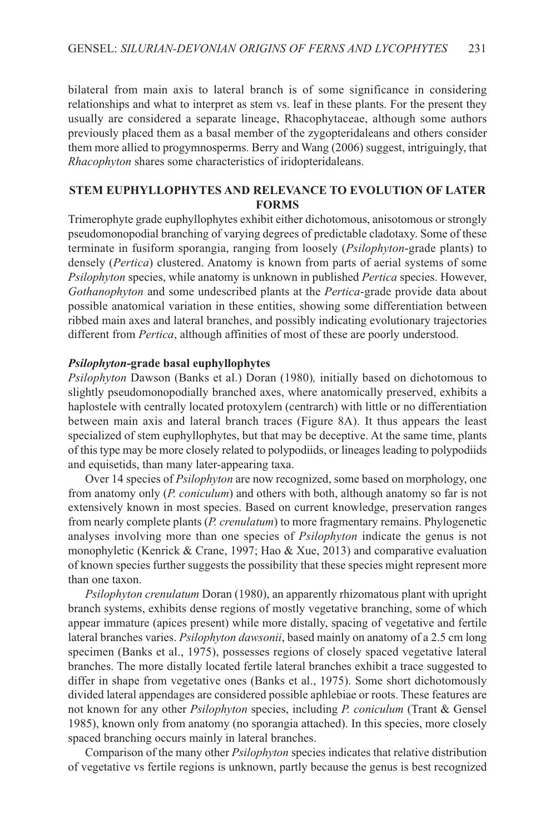bilateral from main axis to lateral branch is of some significance in considering relationships and what to interpret as stem vs. leaf in these plants. For the present they usually are considered a separate lineage, Rhacophytaceae, although some authors previously placed them as a basal member of the zygopteridaleans and others consider them more allied to progymnosperms. Berry and Wang (2006) suggest, intriguingly, that *Rhacophyton* shares some characteristics of iridopteridaleans.

# **STEM EUPHYLLOPHYTES AND RELEVANCE TO EVOLUTION OF LATER FORMS**

Trimerophyte grade euphyllophytes exhibit either dichotomous, anisotomous or strongly pseudomonopodial branching of varying degrees of predictable cladotaxy. some of these terminate in fusiform sporangia, ranging from loosely (*Psilophyton*-grade plants) to densely (*Pertica*) clustered. Anatomy is known from parts of aerial systems of some *Psilophyton* species, while anatomy is unknown in published *Pertica* species. However, *Gothanophyton* and some undescribed plants at the *Pertica*-grade provide data about possible anatomical variation in these entities, showing some differentiation between ribbed main axes and lateral branches, and possibly indicating evolutionary trajectories different from *Pertica*, although affinities of most of these are poorly understood.

## *Psilophyton***-grade basal euphyllophytes**

*Psilophyton* Dawson (Banks et al.) Doran (1980)*,* initially based on dichotomous to slightly pseudomonopodially branched axes, where anatomically preserved, exhibits a haplostele with centrally located protoxylem (centrarch) with little or no differentiation between main axis and lateral branch traces (Figure 8A). It thus appears the least specialized of stem euphyllophytes, but that may be deceptive. At the same time, plants of this type may be more closely related to polypodiids, or lineages leading to polypodiids and equisetids, than many later-appearing taxa.

Over 14 species of *Psilophyton* are now recognized, some based on morphology, one from anatomy only (*P. coniculum*) and others with both, although anatomy so far is not extensively known in most species. Based on current knowledge, preservation ranges from nearly complete plants (*P. crenulatum*) to more fragmentary remains. Phylogenetic analyses involving more than one species of *Psilophyton* indicate the genus is not monophyletic (Kenrick & Crane, 1997; Hao & Xue, 2013) and comparative evaluation of known species further suggests the possibility that these species might represent more than one taxon.

*Psilophyton crenulatum* Doran (1980), an apparently rhizomatous plant with upright branch systems, exhibits dense regions of mostly vegetative branching, some of which appear immature (apices present) while more distally, spacing of vegetative and fertile lateral branches varies. *Psilophyton dawsonii*, based mainly on anatomy of a 2.5 cm long specimen (Banks et al., 1975), possesses regions of closely spaced vegetative lateral branches. The more distally located fertile lateral branches exhibit a trace suggested to differ in shape from vegetative ones (Banks et al., 1975). Some short dichotomously divided lateral appendages are considered possible aphlebiae or roots. These features are not known for any other *Psilophyton* species, including *P. coniculum* (Trant & Gensel 1985), known only from anatomy (no sporangia attached). In this species, more closely spaced branching occurs mainly in lateral branches.

Comparison of the many other *Psilophyton* species indicates that relative distribution of vegetative vs fertile regions is unknown, partly because the genus is best recognized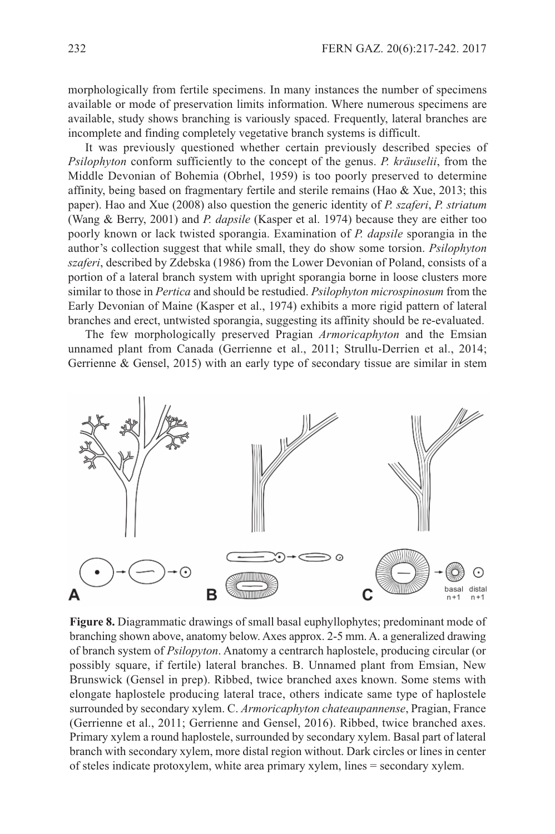morphologically from fertile specimens. In many instances the number of specimens available or mode of preservation limits information. Where numerous specimens are available, study shows branching is variously spaced. Frequently, lateral branches are incomplete and finding completely vegetative branch systems is difficult.

It was previously questioned whether certain previously described species of *Psilophyton* conform sufficiently to the concept of the genus. *P. kräuselii*, from the Middle Devonian of Bohemia (Obrhel, 1959) is too poorly preserved to determine affinity, being based on fragmentary fertile and sterile remains (Hao & Xue, 2013; this paper). Hao and Xue (2008) also question the generic identity of *P. szaferi*, *P. striatum* (Wang & Berry, 2001) and *P. dapsile* (Kasper et al. 1974) because they are either too poorly known or lack twisted sporangia. Examination of *P. dapsile* sporangia in the author's collection suggest that while small, they do show some torsion. *Psilophyton szaferi*, described by Zdebska (1986) from the lower Devonian of Poland, consists of a portion of a lateral branch system with upright sporangia borne in loose clusters more similar to those in *Pertica* and should be restudied. *Psilophyton microspinosum* from the Early Devonian of Maine (Kasper et al., 1974) exhibits a more rigid pattern of lateral branches and erect, untwisted sporangia, suggesting its affinity should be re-evaluated.

The few morphologically preserved Pragian *Armoricaphyton* and the Emsian unnamed plant from Canada (Gerrienne et al., 2011; strullu-Derrien et al., 2014; Gerrienne & Gensel, 2015) with an early type of secondary tissue are similar in stem



**Figure 8.** Diagrammatic drawings of small basal euphyllophytes; predominant mode of branching shown above, anatomy below. Axes approx. 2-5 mm. A. a generalized drawing of branch system of *Psilopyton*. Anatomy a centrarch haplostele, producing circular (or possibly square, if fertile) lateral branches. B. Unnamed plant from Emsian, New Brunswick (Gensel in prep). Ribbed, twice branched axes known. some stems with elongate haplostele producing lateral trace, others indicate same type of haplostele surrounded by secondary xylem. C. *Armoricaphyton chateaupannense*, Pragian, France (Gerrienne et al., 2011; Gerrienne and Gensel, 2016). Ribbed, twice branched axes. Primary xylem a round haplostele, surrounded by secondary xylem. Basal part of lateral branch with secondary xylem, more distal region without. Dark circles or lines in center of steles indicate protoxylem, white area primary xylem, lines = secondary xylem.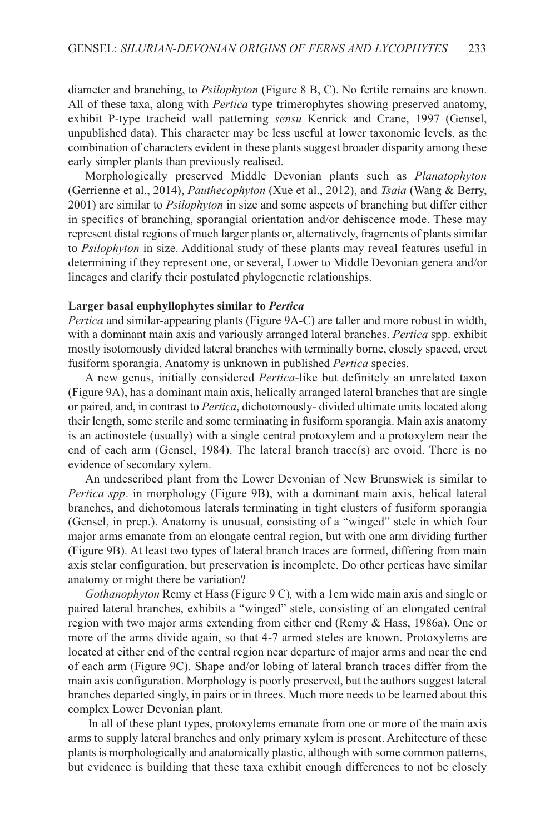diameter and branching, to *Psilophyton* (Figure 8 B, C). No fertile remains are known. All of these taxa, along with *Pertica* type trimerophytes showing preserved anatomy, exhibit P-type tracheid wall patterning *sensu* Kenrick and Crane, 1997 (Gensel, unpublished data). This character may be less useful at lower taxonomic levels, as the combination of characters evident in these plants suggest broader disparity among these early simpler plants than previously realised.

Morphologically preserved Middle Devonian plants such as *Planatophyton* (Gerrienne et al., 2014), *Pauthecophyton* (Xue et al., 2012), and *Tsaia* (Wang & Berry, 2001) are similar to *Psilophyton* in size and some aspects of branching but differ either in specifics of branching, sporangial orientation and/or dehiscence mode. These may represent distal regions of much larger plants or, alternatively, fragments of plants similar to *Psilophyton* in size. Additional study of these plants may reveal features useful in determining if they represent one, or several, lower to Middle Devonian genera and/or lineages and clarify their postulated phylogenetic relationships.

#### **Larger basal euphyllophytes similar to** *Pertica*

*Pertica* and similar-appearing plants (Figure 9A-C) are taller and more robust in width, with a dominant main axis and variously arranged lateral branches. *Pertica* spp. exhibit mostly isotomously divided lateral branches with terminally borne, closely spaced, erect fusiform sporangia. Anatomy is unknown in published *Pertica* species.

A new genus, initially considered *Pertica*-like but definitely an unrelated taxon (Figure 9A), has a dominant main axis, helically arranged lateral branches that are single or paired, and, in contrast to *Pertica*, dichotomously- divided ultimate units located along their length, some sterile and some terminating in fusiform sporangia. Main axis anatomy is an actinostele (usually) with a single central protoxylem and a protoxylem near the end of each arm (Gensel, 1984). The lateral branch trace(s) are ovoid. There is no evidence of secondary xylem.

An undescribed plant from the lower Devonian of New Brunswick is similar to *Pertica spp*. in morphology (Figure 9B), with a dominant main axis, helical lateral branches, and dichotomous laterals terminating in tight clusters of fusiform sporangia (Gensel, in prep.). Anatomy is unusual, consisting of a "winged" stele in which four major arms emanate from an elongate central region, but with one arm dividing further (Figure 9B). At least two types of lateral branch traces are formed, differing from main axis stelar configuration, but preservation is incomplete. Do other perticas have similar anatomy or might there be variation?

*Gothanophyton* Remy et Hass (Figure 9 C)*,* with a 1cm wide main axis and single or paired lateral branches, exhibits a "winged" stele, consisting of an elongated central region with two major arms extending from either end (Remy & Hass, 1986a). One or more of the arms divide again, so that 4-7 armed steles are known. Protoxylems are located at either end of the central region near departure of major arms and near the end of each arm (Figure 9C). shape and/or lobing of lateral branch traces differ from the main axis configuration. Morphology is poorly preserved, but the authors suggest lateral branches departed singly, in pairs or in threes. Much more needs to be learned about this complex lower Devonian plant.

In all of these plant types, protoxylems emanate from one or more of the main axis arms to supply lateral branches and only primary xylem is present. Architecture of these plants is morphologically and anatomically plastic, although with some common patterns, but evidence is building that these taxa exhibit enough differences to not be closely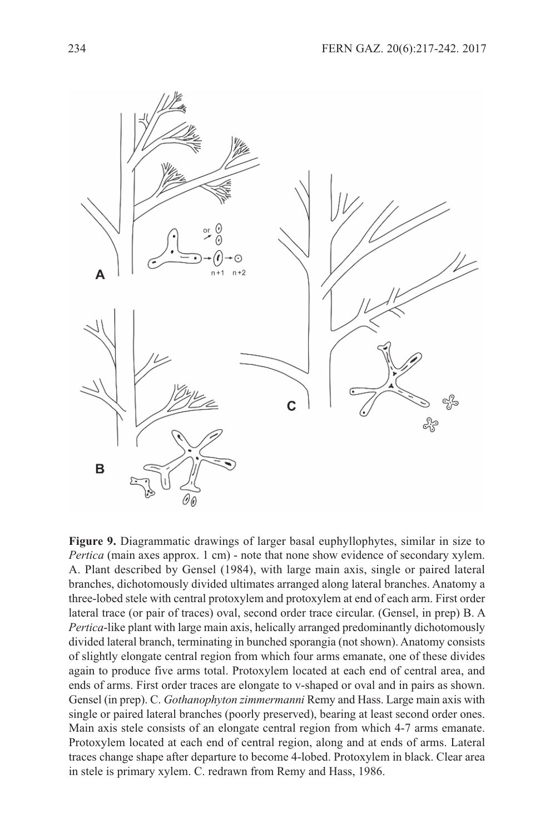

**Figure 9.** Diagrammatic drawings of larger basal euphyllophytes, similar in size to *Pertica* (main axes approx. 1 cm) - note that none show evidence of secondary xylem. A. Plant described by Gensel (1984), with large main axis, single or paired lateral branches, dichotomously divided ultimates arranged along lateral branches. Anatomy a three-lobed stele with central protoxylem and protoxylem at end of each arm. First order lateral trace (or pair of traces) oval, second order trace circular. (Gensel, in prep) B. A *Pertica*-like plant with large main axis, helically arranged predominantly dichotomously divided lateral branch, terminating in bunched sporangia (not shown). Anatomy consists of slightly elongate central region from which four arms emanate, one of these divides again to produce five arms total. Protoxylem located at each end of central area, and ends of arms. First order traces are elongate to v-shaped or oval and in pairs as shown. Gensel (in prep). C. *Gothanophyton zimmermanni* Remy and Hass. large main axis with single or paired lateral branches (poorly preserved), bearing at least second order ones. Main axis stele consists of an elongate central region from which 4-7 arms emanate. Protoxylem located at each end of central region, along and at ends of arms. lateral traces change shape after departure to become 4-lobed. Protoxylem in black. Clear area in stele is primary xylem. C. redrawn from Remy and Hass, 1986.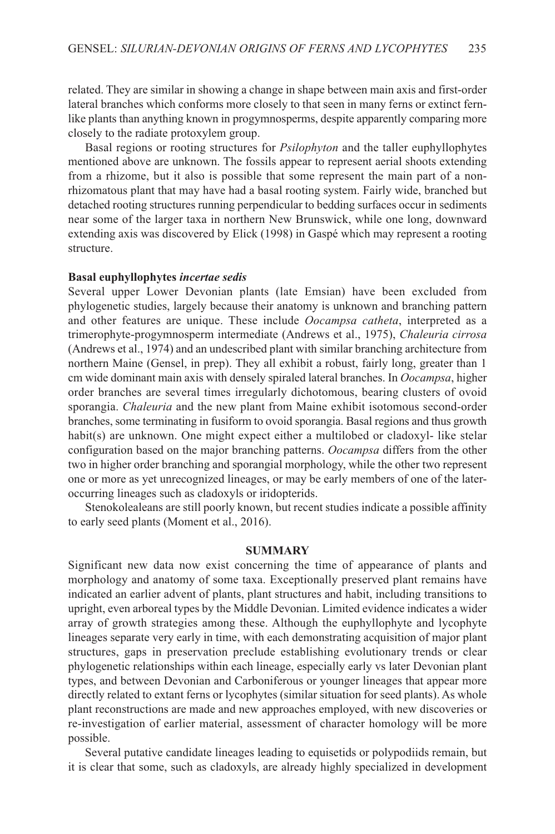related. They are similar in showing a change in shape between main axis and first-order lateral branches which conforms more closely to that seen in many ferns or extinct fernlike plants than anything known in progymnosperms, despite apparently comparing more closely to the radiate protoxylem group.

Basal regions or rooting structures for *Psilophyton* and the taller euphyllophytes mentioned above are unknown. The fossils appear to represent aerial shoots extending from a rhizome, but it also is possible that some represent the main part of a nonrhizomatous plant that may have had a basal rooting system. Fairly wide, branched but detached rooting structures running perpendicular to bedding surfaces occur in sediments near some of the larger taxa in northern New Brunswick, while one long, downward extending axis was discovered by Elick (1998) in Gaspé which may represent a rooting structure.

#### **Basal euphyllophytes** *incertae sedis*

several upper lower Devonian plants (late Emsian) have been excluded from phylogenetic studies, largely because their anatomy is unknown and branching pattern and other features are unique. These include *Oocampsa catheta*, interpreted as a trimerophyte-progymnosperm intermediate (Andrews et al., 1975), *Chaleuria cirrosa* (Andrews et al., 1974) and an undescribed plant with similar branching architecture from northern Maine (Gensel, in prep). They all exhibit a robust, fairly long, greater than 1 cm wide dominant main axis with densely spiraled lateral branches. In *Oocampsa*, higher order branches are several times irregularly dichotomous, bearing clusters of ovoid sporangia. *Chaleuria* and the new plant from Maine exhibit isotomous second-order branches, some terminating in fusiform to ovoid sporangia. Basal regions and thus growth habit(s) are unknown. One might expect either a multilobed or cladoxyl- like stelar configuration based on the major branching patterns. *Oocampsa* differs from the other two in higher order branching and sporangial morphology, while the other two represent one or more as yet unrecognized lineages, or may be early members of one of the lateroccurring lineages such as cladoxyls or iridopterids.

stenokolealeans are still poorly known, but recent studies indicate a possible affinity to early seed plants (Moment et al., 2016).

#### **SUMMARY**

significant new data now exist concerning the time of appearance of plants and morphology and anatomy of some taxa. Exceptionally preserved plant remains have indicated an earlier advent of plants, plant structures and habit, including transitions to upright, even arboreal types by the Middle Devonian. limited evidence indicates a wider array of growth strategies among these. Although the euphyllophyte and lycophyte lineages separate very early in time, with each demonstrating acquisition of major plant structures, gaps in preservation preclude establishing evolutionary trends or clear phylogenetic relationships within each lineage, especially early vs later Devonian plant types, and between Devonian and Carboniferous or younger lineages that appear more directly related to extant ferns or lycophytes (similar situation for seed plants). As whole plant reconstructions are made and new approaches employed, with new discoveries or re-investigation of earlier material, assessment of character homology will be more possible.

several putative candidate lineages leading to equisetids or polypodiids remain, but it is clear that some, such as cladoxyls, are already highly specialized in development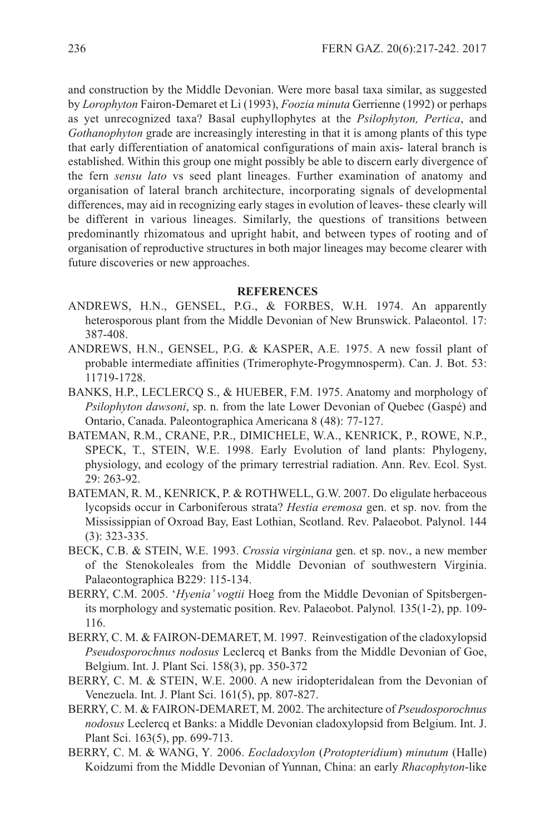and construction by the Middle Devonian. Were more basal taxa similar, as suggested by *Lorophyton* Fairon-Demaret et li (1993), *Foozia minuta* Gerrienne (1992) or perhaps as yet unrecognized taxa? Basal euphyllophytes at the *Psilophyton, Pertica*, and *Gothanophyton* grade are increasingly interesting in that it is among plants of this type that early differentiation of anatomical configurations of main axis- lateral branch is established. Within this group one might possibly be able to discern early divergence of the fern *sensu lato* vs seed plant lineages. Further examination of anatomy and organisation of lateral branch architecture, incorporating signals of developmental differences, may aid in recognizing early stages in evolution of leaves- these clearly will be different in various lineages. similarly, the questions of transitions between predominantly rhizomatous and upright habit, and between types of rooting and of organisation of reproductive structures in both major lineages may become clearer with future discoveries or new approaches.

## **REFERENCES**

- ANDREWs, H.N., GENsEl, P.G., & FORBEs, W.H. 1974. An apparently heterosporous plant from the Middle Devonian of New Brunswick. Palaeontol. 17: 387-408.
- ANDREWs, H.N., GENsEl, P.G. & KAsPER, A.E. 1975. A new fossil plant of probable intermediate affinities (Trimerophyte-Progymnosperm). Can. J. Bot. 53: 11719-1728.
- BANKs, H.P., lEClERCQ s., & HUEBER, F.M. 1975. Anatomy and morphology of *Psilophyton dawsoni*, sp. n. from the late lower Devonian of Quebec (Gaspé) and Ontario, Canada. Paleontographica Americana 8 (48): 77-127.
- BATEMAN, R.M., CRANE, P.R., DIMICHElE, W.A., KENRICK, P., ROWE, N.P., sPECK, T., sTEIN, W.E. 1998. Early Evolution of land plants: Phylogeny, physiology, and ecology of the primary terrestrial radiation. Ann. Rev. Ecol. syst. 29: 263-92.
- BATEMAN, R. M., KENRICK, P. & ROTHWEll, G.W. 2007. Do eligulate herbaceous lycopsids occur in Carboniferous strata? *Hestia eremosa* gen. et sp. nov. from the Mississippian of Oxroad Bay, East lothian, scotland. Rev. Palaeobot. Palynol. 144 (3): 323-335.
- BECK, C.B. & sTEIN, W.E. 1993. *Crossia virginiana* gen. et sp. nov., a new member of the stenokoleales from the Middle Devonian of southwestern Virginia. Palaeontographica B229: 115-134.
- BERRY, C.M. 2005. '*Hyenia' vogtii* Hoeg from the Middle Devonian of spitsbergenits morphology and systematic position. Rev. Palaeobot. Palynol*.* 135(1-2), pp. 109- 116.
- BERRY, C. M. & FAIRON-DEMARET, M. 1997. Reinvestigation of the cladoxylopsid *Pseudosporochnus nodosus* leclercq et Banks from the Middle Devonian of Goe, Belgium. Int. J. Plant Sci. 158(3), pp. 350-372
- BERRY, C. M. & sTEIN, W.E. 2000. A new iridopteridalean from the Devonian of Venezuela. Int. J. Plant sci. 161(5), pp. 807-827.
- BERRY, C. M. & FAIRON-DEMARET, M. 2002. The architecture of *Pseudosporochnus nodosus* leclercq et Banks: a Middle Devonian cladoxylopsid from Belgium. Int. J. Plant Sci. 163(5), pp. 699-713.
- BERRY, C. M. & WANG, Y*.* 2006. *Eocladoxylon* (*Protopteridium*) *minutum* (Halle) Koidzumi from the Middle Devonian of Yunnan, China: an early *Rhacophyton*-like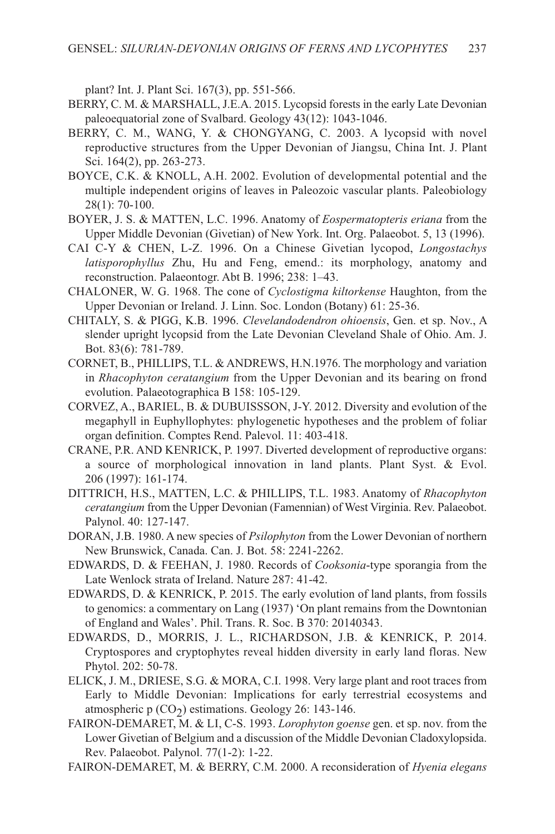plant? Int. J. Plant Sci. 167(3), pp. 551-566.

- BERRY, C. M. & MARSHALL, J.E.A. 2015. Lycopsid forests in the early Late Devonian paleoequatorial zone of svalbard. Geology 43(12): 1043-1046.
- BERRY, C. M., WANG, Y. & CHONGYANG, C. 2003. A lycopsid with novel reproductive structures from the Upper Devonian of Jiangsu, China Int. J. Plant sci. 164(2), pp. 263-273.
- BOYCE, C.K. & KNOll, A.H. 2002. Evolution of developmental potential and the multiple independent origins of leaves in Paleozoic vascular plants. Paleobiology 28(1): 70-100.
- BOYER, J. s. & MATTEN, l.C. 1996. Anatomy of *Eospermatopteris eriana* from the Upper Middle Devonian (Givetian) of New York. Int. Org. Palaeobot. 5, 13 (1996).
- CAI C-Y & CHEN, l-Z. 1996. On a Chinese Givetian lycopod, *Longostachys latisporophyllus* Zhu, Hu and Feng, emend.: its morphology, anatomy and reconstruction. Palaeontogr. Abt B. 1996; 238: 1–43.
- CHAlONER, W. G. 1968. The cone of *Cyclostigma kiltorkense* Haughton, from the Upper Devonian or Ireland. J. Linn. Soc. London (Botany) 61: 25-36.
- CHITAlY, s. & PIGG, K.B. 1996. *Clevelandodendron ohioensis*, Gen. et sp. Nov., A slender upright lycopsid from the late Devonian Cleveland shale of Ohio. Am. J. Bot. 83(6): 781-789.
- CORNET, B., PHILLIPS, T.L. & ANDREWS, H.N.1976. The morphology and variation in *Rhacophyton ceratangium* from the Upper Devonian and its bearing on frond evolution. Palaeotographica B 158: 105-129.
- CORVEZ, A., BARIEl, B. & DUBUIsssON, J-Y. 2012. Diversity and evolution of the megaphyll in Euphyllophytes: phylogenetic hypotheses and the problem of foliar organ definition. Comptes Rend. Palevol. 11: 403-418.
- CRANE, P.R. AND KENRICK, P. 1997. Diverted development of reproductive organs: a source of morphological innovation in land plants. Plant Syst. & Evol. 206 (1997): 161-174.
- DITTRICH, H.s., MATTEN, l.C. & PHIllIPs, T.l. 1983. Anatomy of *Rhacophyton ceratangium* from the Upper Devonian (Famennian) of West Virginia. Rev. Palaeobot. Palynol. 40: 127-147.
- DORAN, J.B. 1980. A new species of *Psilophyton* from the lower Devonian of northern New Brunswick, Canada. Can. J. Bot. 58: 2241-2262.
- EDWARDs, D. & FEEHAN, J. 1980. Records of *Cooksonia*-type sporangia from the Late Wenlock strata of Ireland. Nature 287: 41-42.
- EDWARDs, D. & KENRICK, P. 2015. The early evolution of land plants, from fossils to genomics: a commentary on Lang (1937) 'On plant remains from the Downtonian of England and Wales'. Phil. Trans. R. soc. B 370: 20140343.
- EDWARDs, D., MORRIs, J. l., RICHARDsON, J.B. & KENRICK, P. 2014. Cryptospores and cryptophytes reveal hidden diversity in early land floras. New Phytol. 202: 50-78.
- ElICK, J. M., DRIEsE, s.G. & MORA, C.I. 1998. Very large plant and root traces from Early to Middle Devonian: Implications for early terrestrial ecosystems and atmospheric p  $(CO<sub>2</sub>)$  estimations. Geology 26: 143-146.
- FAIRON-DEMARET, M. & lI, C-s. 1993. *Lorophyton goense* gen. et sp. nov. from the Lower Givetian of Belgium and a discussion of the Middle Devonian Cladoxylopsida. Rev. Palaeobot. Palynol. 77(1-2): 1-22.
- FAIRON-DEMARET, M. & BERRY, C.M. 2000. A reconsideration of *Hyenia elegans*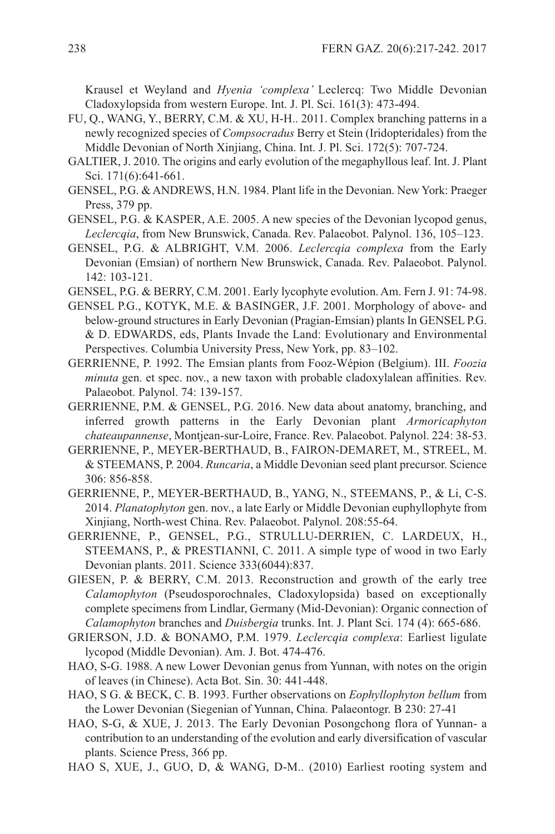Krausel et Weyland and *Hyenia 'complexa'* leclercq: Two Middle Devonian Cladoxylopsida from western Europe. Int. J. Pl. sci. 161(3): 473-494.

- FU, Q., WANG, Y., BERRY, C.M. & XU, H-H.. 2011. Complex branching patterns in a newly recognized species of *Compsocradus* Berry et stein (Iridopteridales) from the Middle Devonian of North Xinjiang, China. Int. J. Pl. sci. 172(5): 707-724.
- GAlTIER, J. 2010. The origins and early evolution of the megaphyllous leaf. Int. J. Plant sci. 171(6):641-661.
- GENsEl, P.G. &ANDREWs, H.N. 1984. Plant life in the Devonian. New York: Praeger Press, 379 pp.
- GENsEl, P.G. & KAsPER, A.E. 2005. A new species of the Devonian lycopod genus, *Leclercqia*, from New Brunswick, Canada. Rev. Palaeobot. Palynol. 136, 105–123.
- GENsEl, P.G. & AlBRIGHT, V.M. 2006. *Leclercqia complexa* from the Early Devonian (Emsian) of northern New Brunswick, Canada. Rev. Palaeobot. Palynol. 142: 103-121.
- GENsEl, P.G. & BERRY, C.M. 2001. Early lycophyte evolution. Am. Fern J. 91: 74-98.
- GENsEl P.G., KOTYK, M.E. & BAsINGER, J.F. 2001. Morphology of above- and below-ground structures in Early Devonian (Pragian-Emsian) plants In GENsEl P.G. & D. EDWARDs, eds, Plants Invade the land: Evolutionary and Environmental Perspectives. Columbia University Press, New York, pp. 83–102.
- GERRIENNE, P. 1992. The Emsian plants from Fooz-Wépion (Belgium). III. *Foozia minuta* gen. et spec. nov., a new taxon with probable cladoxylalean affinities. Rev. Palaeobot. Palynol. 74: 139-157.
- GERRIENNE, P.M. & GENsEl, P.G. 2016. New data about anatomy, branching, and inferred growth patterns in the Early Devonian plant *Armoricaphyton chateaupannense*, Montjean-sur-loire, France. Rev. Palaeobot. Palynol. 224: 38-53.
- GERRIENNE, P., MEYER-BERTHAUD, B., FAIRON-DEMARET, M., sTREEl, M. & sTEEMANs, P. 2004. *Runcaria*, a Middle Devonian seed plant precursor. science 306: 856-858.
- GERRIENNE, P., MEYER-BERTHAUD, B., YANG, N., sTEEMANs, P., & li, C-s. 2014. *Planatophyton* gen. nov., a late Early or Middle Devonian euphyllophyte from Xinjiang, North-west China. Rev. Palaeobot. Palynol. 208:55-64.
- GERRIENNE, P., GENsEl, P.G., sTRUllU-DERRIEN, C. lARDEUX, H., sTEEMANs, P., & PREsTIANNI, C. 2011. A simple type of wood in two Early Devonian plants. 2011. science 333(6044):837.
- GIEsEN, P. & BERRY, C.M. 2013. Reconstruction and growth of the early tree *Calamophyton* (Pseudosporochnales, Cladoxylopsida) based on exceptionally complete specimens from lindlar, Germany (Mid-Devonian): Organic connection of *Calamophyton* branches and *Duisbergia* trunks. Int. J. Plant Sci. 174 (4): 665-686.
- GRIERsON, J.D. & BONAMO, P.M. 1979. *Leclercqia complexa*: Earliest ligulate lycopod (Middle Devonian). Am. J. Bot. 474-476.
- HAO, s-G. 1988. A new lower Devonian genus from Yunnan, with notes on the origin of leaves (in Chinese). Acta Bot. sin. 30: 441-448.
- HAO, s G. & BECK, C. B. 1993. Further observations on *Eophyllophyton bellum* from the lower Devonian (siegenian of Yunnan, China. Palaeontogr. B 230: 27-41
- HAO, s-G, & XUE, J. 2013. The Early Devonian Posongchong flora of Yunnan- a contribution to an understanding of the evolution and early diversification of vascular plants. science Press, 366 pp.
- HAO s, XUE, J., GUO, D, & WANG, D-M.. (2010) Earliest rooting system and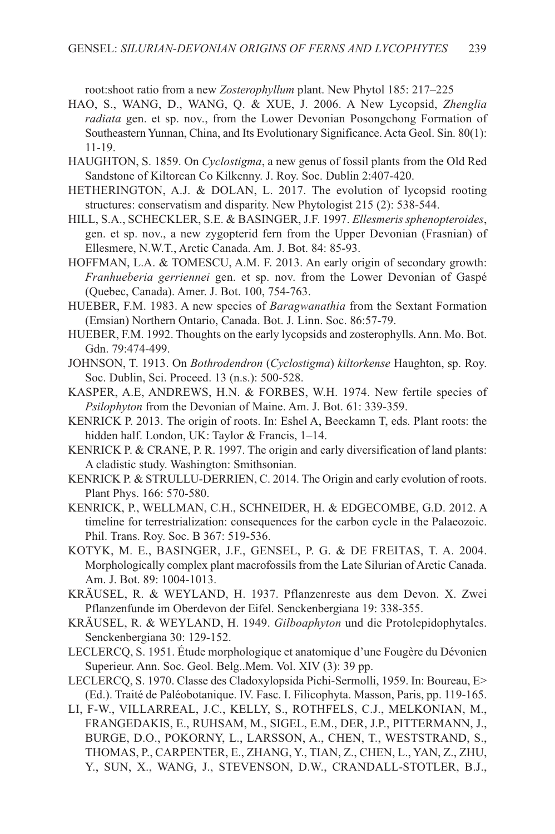root:shoot ratio from a new *Zosterophyllum* plant. New Phytol 185: 217–225

- HAO, s., WANG, D., WANG, Q. & XUE, J. 2006. A New lycopsid, *Zhenglia radiata* gen. et sp. nov., from the lower Devonian Posongchong Formation of southeastern Yunnan, China, and Its Evolutionary significance. Acta Geol. sin. 80(1): 11-19.
- HAUGHTON, s. 1859. On *Cyclostigma*, a new genus of fossil plants from the Old Red sandstone of Kiltorcan Co Kilkenny. J. Roy. soc. Dublin 2:407-420.
- HETHERINGTON, A.J. & DOlAN, l. 2017. The evolution of lycopsid rooting structures: conservatism and disparity. New Phytologist 215 (2): 538-544.
- HIll, s.A., sCHECKlER, s.E. & BAsINGER, J.F. 1997. *Ellesmeris sphenopteroides*, gen. et sp. nov., a new zygopterid fern from the Upper Devonian (Frasnian) of Ellesmere, N.W.T., Arctic Canada. Am. J. Bot. 84: 85-93.
- HOFFMAN, l.A. & TOMEsCU, A.M. F. 2013. An early origin of secondary growth: *Franhueberia gerriennei* gen. et sp. nov. from the lower Devonian of Gaspé (Quebec, Canada). Amer. J. Bot. 100, 754-763.
- HUEBER, F.M. 1983. A new species of *Baragwanathia* from the sextant Formation (Emsian) Northern Ontario, Canada. Bot. J. linn. soc. 86:57-79.
- HUEBER, F.M. 1992. Thoughts on the early lycopsids and zosterophylls. Ann. Mo. Bot. Gdn. 79:474-499.
- JOHNsON, T. 1913. On *Bothrodendron* (*Cyclostigma*) *kiltorkense* Haughton, sp. Roy. soc. Dublin, sci. Proceed. 13 (n.s.): 500-528.
- KAsPER, A.E, ANDREWs, H.N. & FORBEs, W.H. 1974. New fertile species of *Psilophyton* from the Devonian of Maine. Am. J. Bot. 61: 339-359.
- KENRICK P. 2013. The origin of roots. In: Eshel A, Beeckamn T, eds. Plant roots: the hidden half. London, UK: Taylor & Francis, 1-14.
- KENRICK P. & CRANE, P. R. 1997. The origin and early diversification of land plants: A cladistic study. Washington: Smithsonian.
- KENRICK P. & STRULLU-DERRIEN, C. 2014. The Origin and early evolution of roots. Plant Phys. 166: 570-580.
- KENRICK, P., WEllMAN, C.H., sCHNEIDER, H. & EDGECOMBE, G.D. 2012. A timeline for terrestrialization: consequences for the carbon cycle in the Palaeozoic. Phil. Trans. Roy. Soc. B 367: 519-536.
- KOTYK, M. E., BAsINGER, J.F., GENsEl, P. G. & DE FREITAs, T. A. 2004. Morphologically complex plant macrofossils from the late silurian of Arctic Canada. Am. J. Bot. 89: 1004-1013.
- KRÄUsEl, R. & WEYlAND, H. 1937. Pflanzenreste aus dem Devon. X. Zwei Pflanzenfunde im Oberdevon der Eifel. senckenbergiana 19: 338-355.
- KRÄUsEl, R. & WEYlAND, H. 1949. *Gilboaphyton* und die Protolepidophytales. senckenbergiana 30: 129-152.
- lEClERCQ, s. 1951. Étude morphologique et anatomique d'une Fougère du Dévonien superieur. Ann. soc. Geol. Belg..Mem. Vol. XIV (3): 39 pp.
- lEClERCQ, s. 1970. Classe des Cladoxylopsida Pichi-sermolli, 1959. In: Boureau, E> (Ed.). Traité de Paléobotanique. IV. Fasc. I. Filicophyta. Masson, Paris, pp. 119-165.
- lI, F-W., VIllARREAl, J.C., KEllY, s., ROTHFEls, C.J., MElKONIAN, M., FRANGEDAKIs, E., RUHsAM, M., sIGEl, E.M., DER, J.P., PITTERMANN, J., BURGE, D.O., POKORNY, l., lARssON, A., CHEN, T., WEsTsTRAND, s., THOMAs, P., CARPENTER, E., ZHANG, Y., TIAN, Z., CHEN, l., YAN, Z., ZHU, Y., sUN, X., WANG, J., sTEVENsON, D.W., CRANDAll-sTOTlER, B.J.,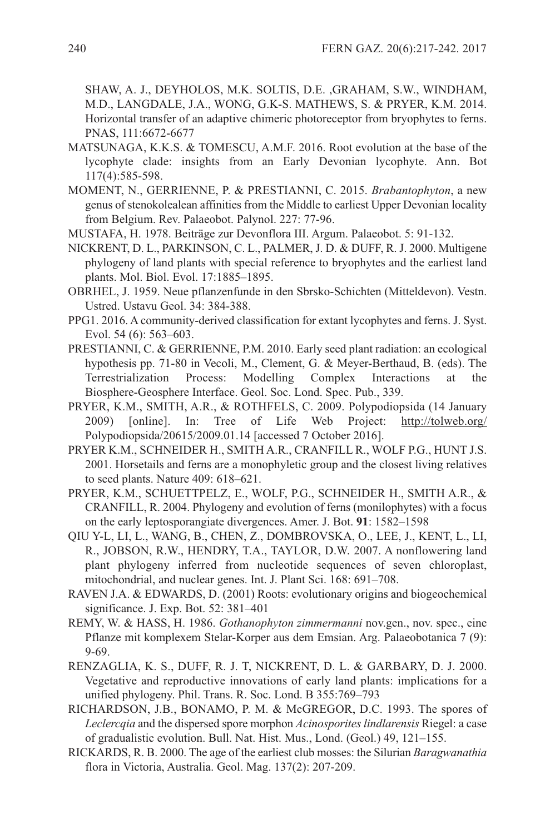sHAW, A. J., DEYHOlOs, M.K. sOlTIs, D.E. ,GRAHAM, s.W., WINDHAM, M.D., lANGDAlE, J.A., WONG, G.K-s. MATHEWs, s. & PRYER, K.M. 2014. Horizontal transfer of an adaptive chimeric photoreceptor from bryophytes to ferns. PNAs, 111:6672-6677

- MATsUNAGA, K.K.s. & TOMEsCU, A.M.F. 2016. Root evolution at the base of the lycophyte clade: insights from an Early Devonian lycophyte. Ann. Bot 117(4):585-598.
- MOMENT, N., GERRIENNE, P. & PREsTIANNI, C. 2015. *Brabantophyton*, a new genus of stenokolealean affinities from the Middle to earliest Upper Devonian locality from Belgium. Rev. Palaeobot. Palynol. 227: 77-96.
- MUsTAFA, H. 1978. Beiträge zur Devonflora III. Argum. Palaeobot. 5: 91-132.
- NICKRENT, D. l., PARKINsON, C. l., PAlMER, J. D. & DUFF, R. J. 2000. Multigene phylogeny of land plants with special reference to bryophytes and the earliest land plants. Mol. Biol. Evol. 17:1885–1895.
- OBRHEl, J. 1959. Neue pflanzenfunde in den sbrsko-schichten (Mitteldevon). Vestn. Ustred. Ustavu Geol. 34: 384-388.
- PPG1. 2016. A community-derived classification for extant lycophytes and ferns. J. Syst. Evol. 54 (6): 563–603.
- PREsTIANNI, C. & GERRIENNE, P.M. 2010. Early seed plant radiation: an ecological hypothesis pp. 71-80 in Vecoli, M., Clement, G. & Meyer-Berthaud, B. (eds). The Terrestrialization Process: Modelling Complex Interactions at the Biosphere-Geosphere Interface. Geol. soc. lond. spec. Pub., 339.
- PRYER, K.M., sMITH, A.R., & ROTHFEls, C. 2009. Polypodiopsida (14 January 2009) [online]. In: Tree of life Web Project: http://tolweb.org/ Polypodiopsida/20615/2009.01.14 [accessed 7 October 2016].
- PRYER K.M., sCHNEIDER H., sMITH A.R., CRANFIll R., WOlF P.G., HUNT J.s. 2001. Horsetails and ferns are a monophyletic group and the closest living relatives to seed plants. Nature 409: 618–621.
- PRYER, K.M., sCHUETTPElZ, E., WOlF, P.G., sCHNEIDER H., sMITH A.R., & CRANFIll, R. 2004. Phylogeny and evolution of ferns (monilophytes) with a focus on the early leptosporangiate divergences. Amer. J. Bot. **91**: 1582–1598
- QIU Y-l, lI, l., WANG, B., CHEN, Z., DOMBROVsKA, O., lEE, J., KENT, l., lI, R., JOBsON, R.W., HENDRY, T.A., TAYlOR, D.W. 2007. A nonflowering land plant phylogeny inferred from nucleotide sequences of seven chloroplast, mitochondrial, and nuclear genes. Int. J. Plant Sci. 168: 691–708.
- RAVEN J.A. & EDWARDs, D. (2001) Roots: evolutionary origins and biogeochemical significance. J. Exp. Bot. 52: 381–401
- REMY, W. & HAss, H. 1986. *Gothanophyton zimmermanni* nov.gen., nov. spec., eine Pflanze mit komplexem stelar-Korper aus dem Emsian. Arg. Palaeobotanica 7 (9): 9-69.
- RENZAGlIA, K. s., DUFF, R. J. T, NICKRENT, D. l. & GARBARY, D. J. 2000. Vegetative and reproductive innovations of early land plants: implications for a unified phylogeny. Phil. Trans. R. soc. lond. B 355:769–793
- RICHARDsON, J.B., BONAMO, P. M. & McGREGOR, D.C. 1993. The spores of *Leclercqia* and the dispersed spore morphon *Acinosporites lindlarensis* Riegel: a case of gradualistic evolution. Bull. Nat. Hist. Mus., lond. (Geol.) 49, 121–155.
- RICKARDs, R. B. 2000. The age of the earliest club mosses: the silurian *Baragwanathia* flora in Victoria, Australia. Geol. Mag. 137(2): 207-209.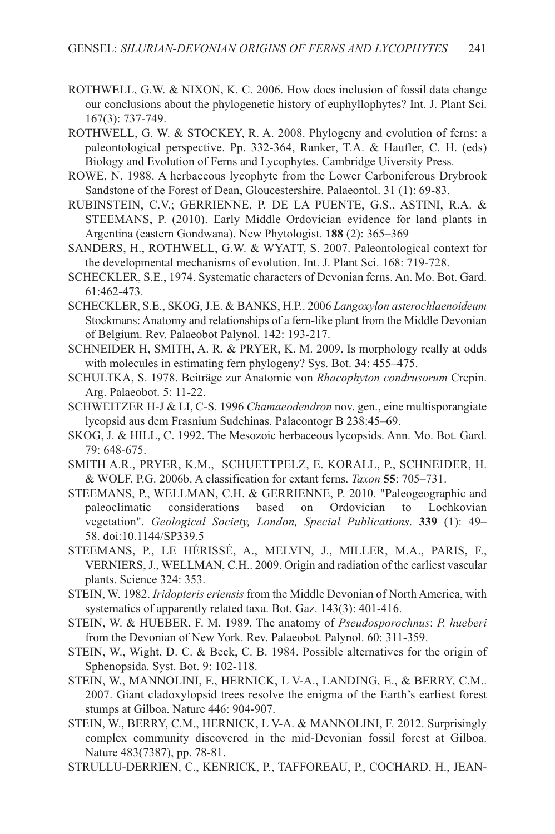- ROTHWEll, G.W. & NIXON, K. C. 2006. How does inclusion of fossil data change our conclusions about the phylogenetic history of euphyllophytes? Int. J. Plant Sci. 167(3): 737-749.
- ROTHWEll, G. W. & sTOCKEY, R. A. 2008. Phylogeny and evolution of ferns: a paleontological perspective. Pp. 332-364, Ranker, T.A. & Haufler, C. H. (eds) Biology and Evolution of Ferns and lycophytes. Cambridge Uiversity Press.
- ROWE, N. 1988. A herbaceous lycophyte from the lower Carboniferous Drybrook sandstone of the Forest of Dean, Gloucestershire. Palaeontol. 31 (1): 69-83.
- RUBINsTEIN, C.V.; GERRIENNE, P. DE lA PUENTE, G.s., AsTINI, R.A. & sTEEMANs, P. (2010). Early Middle Ordovician evidence for land plants in Argentina (eastern Gondwana). New Phytologist. **188** (2): 365–369
- sANDERs, H., ROTHWEll, G.W. & WYATT, s. 2007. Paleontological context for the developmental mechanisms of evolution. Int. J. Plant Sci. 168: 719-728.
- sCHECKlER, s.E., 1974. systematic characters of Devonian ferns. An. Mo. Bot. Gard. 61:462-473.
- sCHECKlER, s.E., sKOG, J.E. & BANKs, H.P.. 2006 *Langoxylon asterochlaenoideum* stockmans: Anatomy and relationships of a fern-like plant from the Middle Devonian of Belgium. Rev. Palaeobot Palynol. 142: 193-217.
- sCHNEIDER H, sMITH, A. R. & PRYER, K. M. 2009. Is morphology really at odds with molecules in estimating fern phylogeny? Sys. Bot. 34: 455–475.
- sCHUlTKA, s. 1978. Beiträge zur Anatomie von *Rhacophyton condrusorum* Crepin. Arg. Palaeobot. 5: 11-22.
- sCHWEITZER H-J & lI, C-s. 1996 *Chamaeodendron* nov. gen., eine multisporangiate lycopsid aus dem Frasnium sudchinas. Palaeontogr B 238:45–69.
- sKOG, J. & HIll, C. 1992. The Mesozoic herbaceous lycopsids. Ann. Mo. Bot. Gard. 79: 648-675.
- sMITH A.R., PRYER, K.M., sCHUETTPElZ, E. KORAll, P., sCHNEIDER, H. & WOlF. P.G. 2006b. A classification for extant ferns. *Taxon* **55**: 705–731.
- sTEEMANs, P., WEllMAN, C.H. & GERRIENNE, P. 2010. "Paleogeographic and paleoclimatic considerations based on Ordovician to lochkovian vegetation". *Geological Society, London, Special Publications*. **339** (1): 49– 58. doi:10.1144/sP339.5
- sTEEMANs, P., lE HÉRIssÉ, A., MElVIN, J., MIllER, M.A., PARIs, F., VERNIERs, J., WEllMAN, C.H.. 2009. Origin and radiation of the earliest vascular plants. Science 324: 353.
- sTEIN, W. 1982. *Iridopteris eriensis* from the Middle Devonian of North America, with systematics of apparently related taxa. Bot. Gaz. 143(3): 401-416.
- sTEIN, W. & HUEBER, F. M. 1989. The anatomy of *Pseudosporochnus*: *P. hueberi* from the Devonian of New York. Rev. Palaeobot. Palynol. 60: 311-359.
- sTEIN, W., Wight, D. C. & Beck, C. B. 1984. Possible alternatives for the origin of Sphenopsida. Syst. Bot. 9: 102-118.
- sTEIN, W., MANNOlINI, F., HERNICK, l V-A., lANDING, E., & BERRY, C.M.. 2007. Giant cladoxylopsid trees resolve the enigma of the Earth's earliest forest stumps at Gilboa. Nature 446: 904-907.
- sTEIN, W., BERRY, C.M., HERNICK, l V-A. & MANNOlINI, F. 2012. surprisingly complex community discovered in the mid-Devonian fossil forest at Gilboa. Nature 483(7387), pp. 78-81.
- sTRUllU-DERRIEN, C., KENRICK, P., TAFFOREAU, P., COCHARD, H., JEAN-